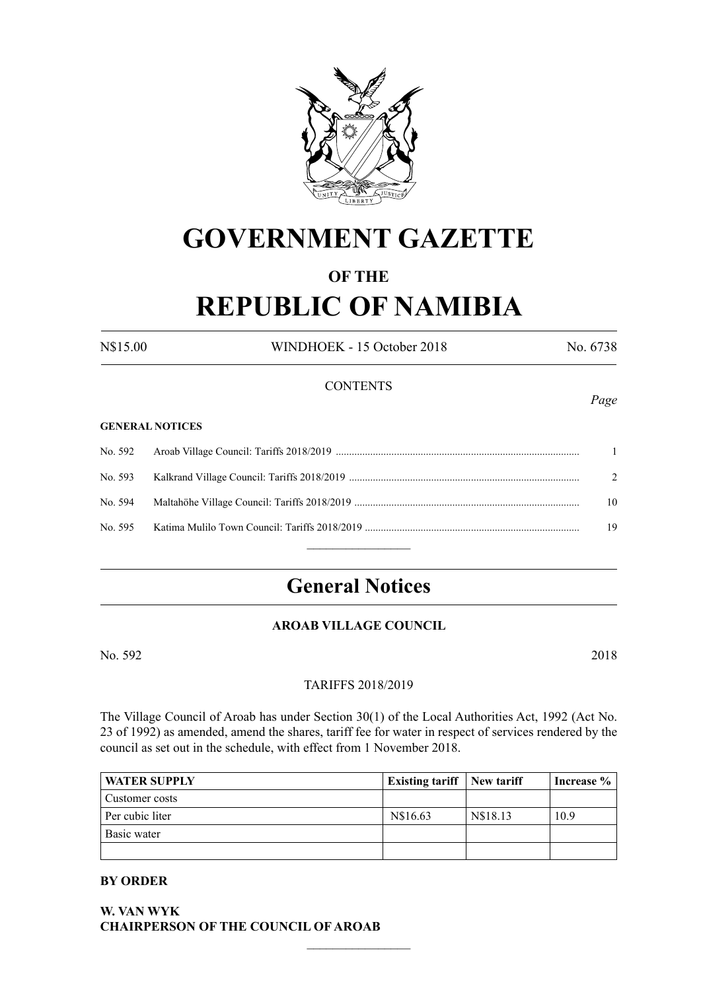

# **GOVERNMENT GAZETTE**

# **OF THE**

# **REPUBLIC OF NAMIBIA**

N\$15.00 WINDHOEK - 15 October 2018 No. 6738

#### **CONTENTS**

#### **GENERAL NOTICES**

|  | $\mathcal{L}$ |
|--|---------------|
|  | 10            |
|  | 19            |
|  |               |

# **General Notices**

# **AROAB VILLAGE COUNCIL**

No. 592 2018

#### TARIFFS 2018/2019

The Village Council of Aroab has under Section 30(1) of the Local Authorities Act, 1992 (Act No. 23 of 1992) as amended, amend the shares, tariff fee for water in respect of services rendered by the council as set out in the schedule, with effect from 1 November 2018.

| <b>WATER SUPPLY</b> | <b>Existing tariff</b> New tariff |          | Increase $\%$ |
|---------------------|-----------------------------------|----------|---------------|
| Customer costs      |                                   |          |               |
| Per cubic liter     | N\$16.63                          | N\$18.13 | 10.9          |
| Basic water         |                                   |          |               |
|                     |                                   |          |               |

 $\frac{1}{2}$ 

#### **BY ORDER**

**W. VAN WYK CHAIRPERSON OF THE COUNCIL OF AROAB** *Page*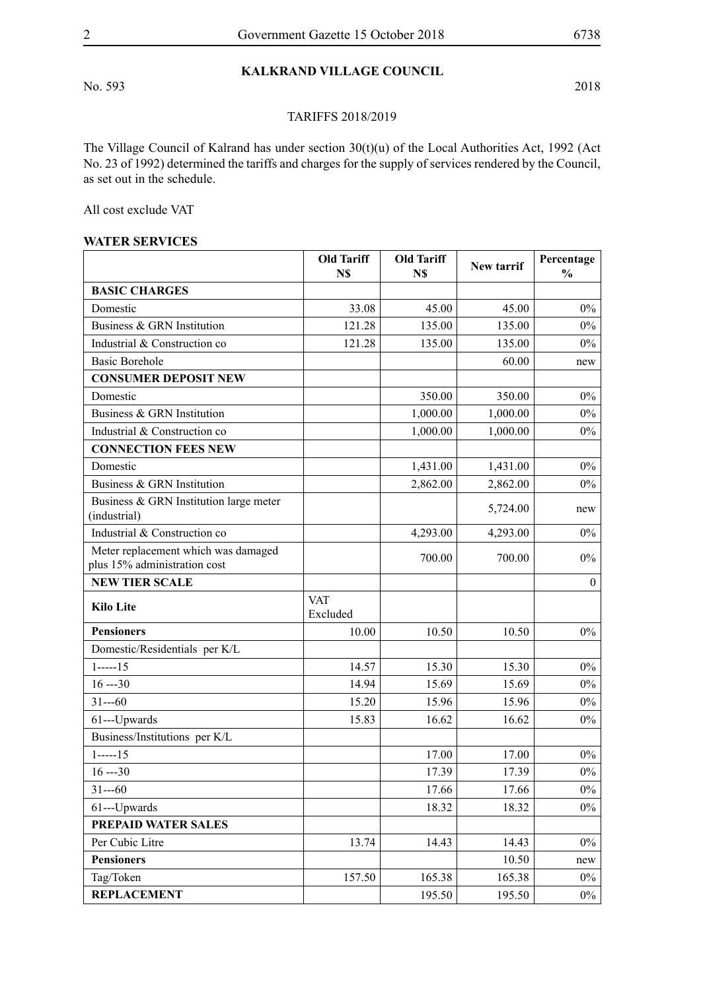No. 593 2018

# **KALKRAND VILLAGE COUNCIL**

## TARIFFS 2018/2019

The Village Council of Kalrand has under section 30(t)(u) of the Local Authorities Act, 1992 (Act No. 23 of 1992) determined the tariffs and charges for the supply of services rendered by the Council, as set out in the schedule.

All cost exclude VAT

#### **WATER SERVICES**

|                                                                     | <b>Old Tariff</b><br>N\$ | <b>Old Tariff</b><br>N\$ | New tarrif | Percentage<br>$\frac{0}{0}$ |
|---------------------------------------------------------------------|--------------------------|--------------------------|------------|-----------------------------|
| <b>BASIC CHARGES</b>                                                |                          |                          |            |                             |
| Domestic                                                            | 33.08                    | 45.00                    | 45.00      | $0\%$                       |
| Business & GRN Institution                                          | 121.28                   | 135.00                   | 135.00     | $0\%$                       |
| Industrial & Construction co                                        | 121.28                   | 135.00                   | 135.00     | $0\%$                       |
| <b>Basic Borehole</b>                                               |                          |                          | 60.00      | new                         |
| <b>CONSUMER DEPOSIT NEW</b>                                         |                          |                          |            |                             |
| Domestic                                                            |                          | 350.00                   | 350.00     | $0\%$                       |
| Business & GRN Institution                                          |                          | 1,000.00                 | 1,000.00   | $0\%$                       |
| Industrial & Construction co                                        |                          | 1,000.00                 | 1,000.00   | $0\%$                       |
| <b>CONNECTION FEES NEW</b>                                          |                          |                          |            |                             |
| Domestic                                                            |                          | 1,431.00                 | 1,431.00   | $0\%$                       |
| Business & GRN Institution                                          |                          | 2,862.00                 | 2,862.00   | $0\%$                       |
| Business & GRN Institution large meter<br>(industrial)              |                          |                          | 5,724.00   | new                         |
| Industrial & Construction co                                        |                          | 4,293.00                 | 4,293.00   | $0\%$                       |
| Meter replacement which was damaged<br>plus 15% administration cost |                          | 700.00                   | 700.00     | $0\%$                       |
| <b>NEW TIER SCALE</b>                                               |                          |                          |            | $\mathbf{0}$                |
| <b>Kilo Lite</b>                                                    | <b>VAT</b><br>Excluded   |                          |            |                             |
| <b>Pensioners</b>                                                   | 10.00                    | 10.50                    | 10.50      | $0\%$                       |
| Domestic/Residentials per K/L                                       |                          |                          |            |                             |
| $1$ -----15                                                         | 14.57                    | 15.30                    | 15.30      | $0\%$                       |
| $16 - 30$                                                           | 14.94                    | 15.69                    | 15.69      | $0\%$                       |
| $31--60$                                                            | 15.20                    | 15.96                    | 15.96      | $0\%$                       |
| 61---Upwards                                                        | 15.83                    | 16.62                    | 16.62      | $0\%$                       |
| Business/Institutions per K/L                                       |                          |                          |            |                             |
| $1$ -----15                                                         |                          | 17.00                    | 17.00      | $0\%$                       |
| $16 - 30$                                                           |                          | 17.39                    | 17.39      | $0\%$                       |
| $31--60$                                                            |                          | 17.66                    | 17.66      | $0\%$                       |
| 61---Upwards                                                        |                          | 18.32                    | 18.32      | $0\%$                       |
| PREPAID WATER SALES                                                 |                          |                          |            |                             |
| Per Cubic Litre                                                     | 13.74                    | 14.43                    | 14.43      | $0\%$                       |
| <b>Pensioners</b>                                                   |                          |                          | 10.50      | new                         |
| Tag/Token                                                           | 157.50                   | 165.38                   | 165.38     | $0\%$                       |
| <b>REPLACEMENT</b>                                                  |                          | 195.50                   | 195.50     | $0\%$                       |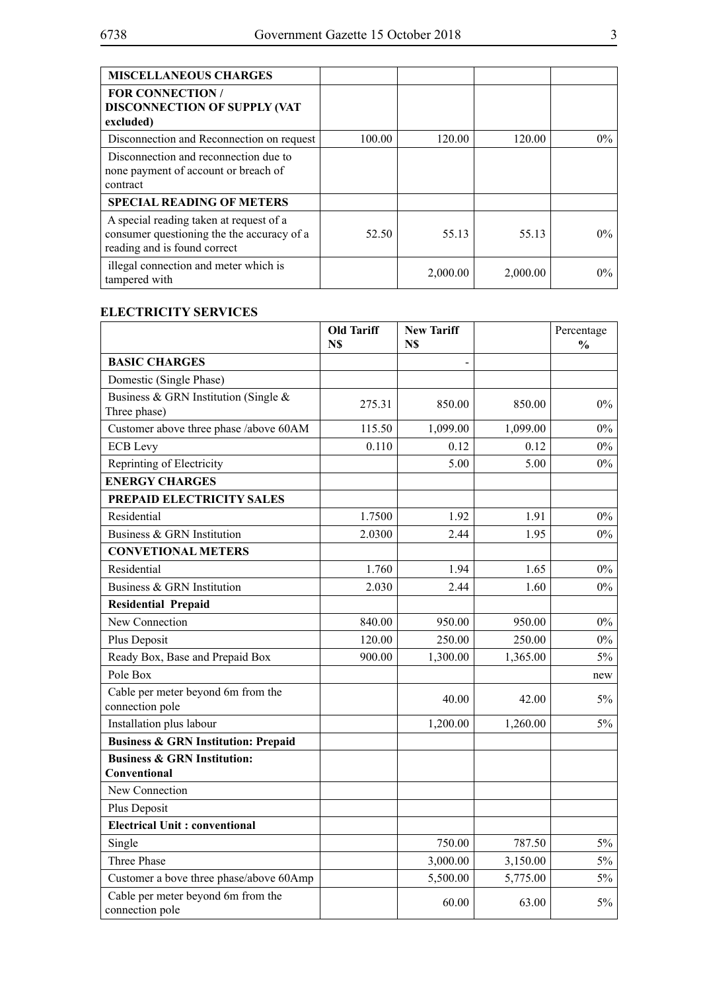| <b>MISCELLANEOUS CHARGES</b>                                                                                          |        |          |          |       |
|-----------------------------------------------------------------------------------------------------------------------|--------|----------|----------|-------|
| <b>FOR CONNECTION /</b><br><b>DISCONNECTION OF SUPPLY (VAT</b><br>excluded)                                           |        |          |          |       |
| Disconnection and Reconnection on request                                                                             | 100.00 | 120.00   | 120.00   | $0\%$ |
| Disconnection and reconnection due to<br>none payment of account or breach of<br>contract                             |        |          |          |       |
| <b>SPECIAL READING OF METERS</b>                                                                                      |        |          |          |       |
| A special reading taken at request of a<br>consumer questioning the the accuracy of a<br>reading and is found correct | 52.50  | 55.13    | 55.13    | $0\%$ |
| illegal connection and meter which is<br>tampered with                                                                |        | 2,000.00 | 2,000.00 | $0\%$ |

#### **ELECTRICITY SERVICES**

|                                                        | <b>Old Tariff</b><br>N\$ | <b>New Tariff</b><br>N\$ |          | Percentage<br>$\frac{0}{0}$ |
|--------------------------------------------------------|--------------------------|--------------------------|----------|-----------------------------|
| <b>BASIC CHARGES</b>                                   |                          | $\overline{\phantom{0}}$ |          |                             |
| Domestic (Single Phase)                                |                          |                          |          |                             |
| Business & GRN Institution (Single &<br>Three phase)   | 275.31                   | 850.00                   | 850.00   | $0\%$                       |
| Customer above three phase /above 60AM                 | 115.50                   | 1,099.00                 | 1,099.00 | $0\%$                       |
| <b>ECB</b> Levy                                        | 0.110                    | 0.12                     | 0.12     | $0\%$                       |
| Reprinting of Electricity                              |                          | 5.00                     | 5.00     | $0\%$                       |
| <b>ENERGY CHARGES</b>                                  |                          |                          |          |                             |
| PREPAID ELECTRICITY SALES                              |                          |                          |          |                             |
| Residential                                            | 1.7500                   | 1.92                     | 1.91     | $0\%$                       |
| Business & GRN Institution                             | 2.0300                   | 2.44                     | 1.95     | 0%                          |
| <b>CONVETIONAL METERS</b>                              |                          |                          |          |                             |
| Residential                                            | 1.760                    | 1.94                     | 1.65     | $0\%$                       |
| Business & GRN Institution                             | 2.030                    | 2.44                     | 1.60     | 0%                          |
| <b>Residential Prepaid</b>                             |                          |                          |          |                             |
| New Connection                                         | 840.00                   | 950.00                   | 950.00   | $0\%$                       |
| Plus Deposit                                           | 120.00                   | 250.00                   | 250.00   | $0\%$                       |
| Ready Box, Base and Prepaid Box                        | 900.00                   | 1,300.00                 | 1,365.00 | 5%                          |
| Pole Box                                               |                          |                          |          | new                         |
| Cable per meter beyond 6m from the<br>connection pole  |                          | 40.00                    | 42.00    | $5\%$                       |
| Installation plus labour                               |                          | 1,200.00                 | 1,260.00 | $5\%$                       |
| <b>Business &amp; GRN Institution: Prepaid</b>         |                          |                          |          |                             |
| <b>Business &amp; GRN Institution:</b><br>Conventional |                          |                          |          |                             |
| New Connection                                         |                          |                          |          |                             |
| Plus Deposit                                           |                          |                          |          |                             |
| <b>Electrical Unit: conventional</b>                   |                          |                          |          |                             |
| Single                                                 |                          | 750.00                   | 787.50   | $5\%$                       |
| Three Phase                                            |                          | 3,000.00                 | 3,150.00 | $5\%$                       |
| Customer a bove three phase/above 60Amp                |                          | 5,500.00                 | 5,775.00 | $5\%$                       |
| Cable per meter beyond 6m from the<br>connection pole  |                          | 60.00                    | 63.00    | 5%                          |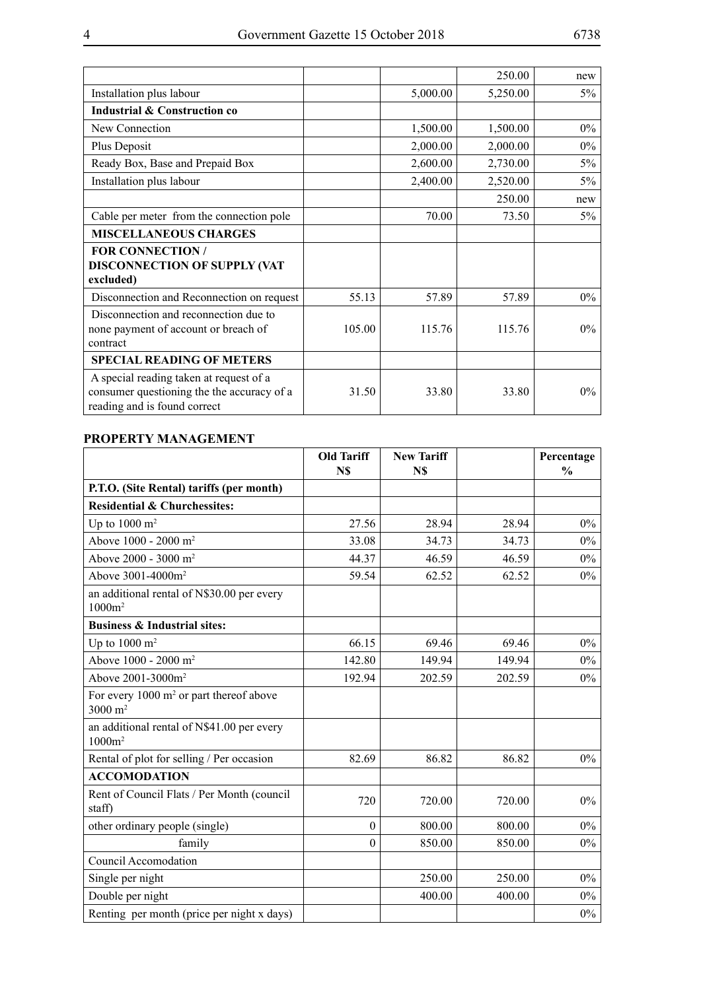|                                                                                                                       |        |          | 250.00   | new   |
|-----------------------------------------------------------------------------------------------------------------------|--------|----------|----------|-------|
| Installation plus labour                                                                                              |        | 5,000.00 | 5,250.00 | $5\%$ |
| <b>Industrial &amp; Construction co</b>                                                                               |        |          |          |       |
| New Connection                                                                                                        |        | 1,500.00 | 1,500.00 | $0\%$ |
| Plus Deposit                                                                                                          |        | 2,000.00 | 2,000.00 | $0\%$ |
| Ready Box, Base and Prepaid Box                                                                                       |        | 2,600.00 | 2,730.00 | $5\%$ |
| Installation plus labour                                                                                              |        | 2,400.00 | 2,520.00 | 5%    |
|                                                                                                                       |        |          | 250.00   | new   |
| Cable per meter from the connection pole                                                                              |        | 70.00    | 73.50    | $5\%$ |
| <b>MISCELLANEOUS CHARGES</b>                                                                                          |        |          |          |       |
| <b>FOR CONNECTION /</b><br><b>DISCONNECTION OF SUPPLY (VAT</b><br>excluded)                                           |        |          |          |       |
| Disconnection and Reconnection on request                                                                             | 55.13  | 57.89    | 57.89    | $0\%$ |
| Disconnection and reconnection due to<br>none payment of account or breach of<br>contract                             | 105.00 | 115.76   | 115.76   | $0\%$ |
| <b>SPECIAL READING OF METERS</b>                                                                                      |        |          |          |       |
| A special reading taken at request of a<br>consumer questioning the the accuracy of a<br>reading and is found correct | 31.50  | 33.80    | 33.80    | $0\%$ |

# **PROPERTY MANAGEMENT**

|                                                                          | <b>Old Tariff</b><br>N\$ | <b>New Tariff</b><br>N\$ |        | Percentage<br>$\frac{0}{0}$ |
|--------------------------------------------------------------------------|--------------------------|--------------------------|--------|-----------------------------|
| P.T.O. (Site Rental) tariffs (per month)                                 |                          |                          |        |                             |
| <b>Residential &amp; Churchessites:</b>                                  |                          |                          |        |                             |
| Up to $1000 \text{ m}^2$                                                 | 27.56                    | 28.94                    | 28.94  | $0\%$                       |
| Above 1000 - 2000 m <sup>2</sup>                                         | 33.08                    | 34.73                    | 34.73  | $0\%$                       |
| Above 2000 - 3000 m <sup>2</sup>                                         | 44.37                    | 46.59                    | 46.59  | $0\%$                       |
| Above 3001-4000m <sup>2</sup>                                            | 59.54                    | 62.52                    | 62.52  | $0\%$                       |
| an additional rental of N\$30.00 per every<br>$1000m^2$                  |                          |                          |        |                             |
| <b>Business &amp; Industrial sites:</b>                                  |                          |                          |        |                             |
| Up to $1000 \text{ m}^2$                                                 | 66.15                    | 69.46                    | 69.46  | $0\%$                       |
| Above 1000 - 2000 m <sup>2</sup>                                         | 142.80                   | 149.94                   | 149.94 | $0\%$                       |
| Above 2001-3000m <sup>2</sup>                                            | 192.94                   | 202.59                   | 202.59 | $0\%$                       |
| For every $1000 \text{ m}^2$ or part thereof above<br>$3000 \text{ m}^2$ |                          |                          |        |                             |
| an additional rental of N\$41.00 per every<br>$1000m^2$                  |                          |                          |        |                             |
| Rental of plot for selling / Per occasion                                | 82.69                    | 86.82                    | 86.82  | $0\%$                       |
| <b>ACCOMODATION</b>                                                      |                          |                          |        |                             |
| Rent of Council Flats / Per Month (council<br>staff)                     | 720                      | 720.00                   | 720.00 | $0\%$                       |
| other ordinary people (single)                                           | $\mathbf{0}$             | 800.00                   | 800.00 | $0\%$                       |
| family                                                                   | $\theta$                 | 850.00                   | 850.00 | $0\%$                       |
| Council Accomodation                                                     |                          |                          |        |                             |
| Single per night                                                         |                          | 250.00                   | 250.00 | $0\%$                       |
| Double per night                                                         |                          | 400.00                   | 400.00 | $0\%$                       |
| Renting per month (price per night x days)                               |                          |                          |        | $0\%$                       |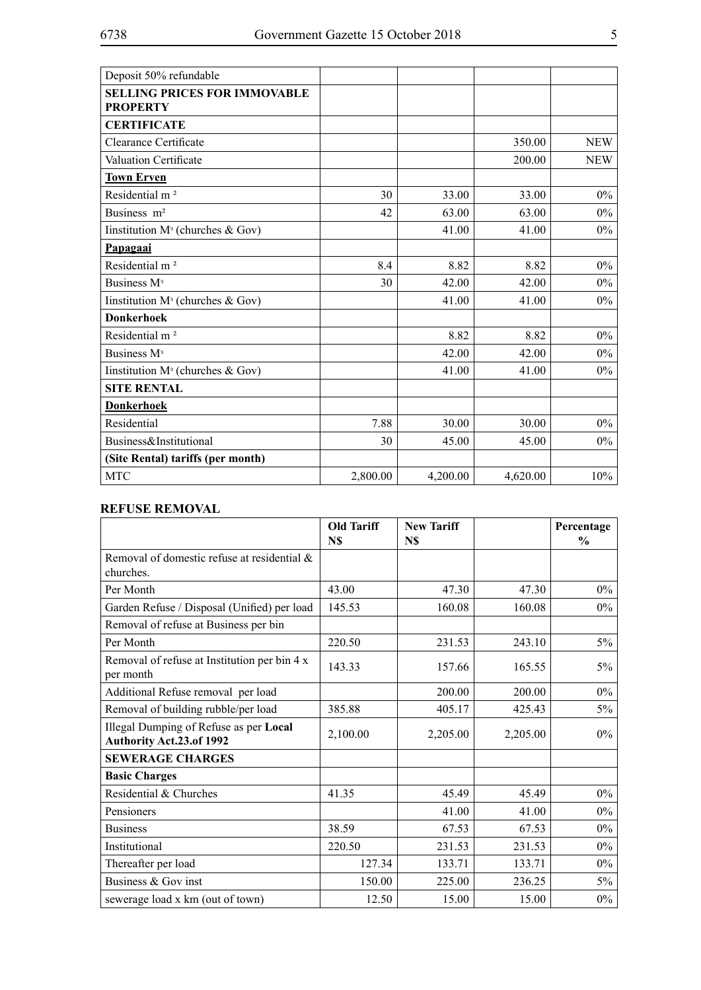| Deposit 50% refundable                                 |          |          |          |            |
|--------------------------------------------------------|----------|----------|----------|------------|
| <b>SELLING PRICES FOR IMMOVABLE</b><br><b>PROPERTY</b> |          |          |          |            |
| <b>CERTIFICATE</b>                                     |          |          |          |            |
| Clearance Certificate                                  |          |          | 350.00   | <b>NEW</b> |
| <b>Valuation Certificate</b>                           |          |          | 200.00   | <b>NEW</b> |
| <b>Town Erven</b>                                      |          |          |          |            |
| Residential m <sup>2</sup>                             | 30       | 33.00    | 33.00    | $0\%$      |
| Business m <sup>2</sup>                                | 42       | 63.00    | 63.00    | $0\%$      |
| Institution $M^3$ (churches & Gov)                     |          | 41.00    | 41.00    | $0\%$      |
| Papagaai                                               |          |          |          |            |
| Residential m <sup>2</sup>                             | 8.4      | 8.82     | 8.82     | $0\%$      |
| Business M <sup>3</sup>                                | 30       | 42.00    | 42.00    | $0\%$      |
| Iinstitution $M^3$ (churches & Gov)                    |          | 41.00    | 41.00    | $0\%$      |
| <b>Donkerhoek</b>                                      |          |          |          |            |
| Residential m <sup>2</sup>                             |          | 8.82     | 8.82     | $0\%$      |
| Business M <sup>3</sup>                                |          | 42.00    | 42.00    | $0\%$      |
| Iinstitution M <sup>3</sup> (churches & Gov)           |          | 41.00    | 41.00    | $0\%$      |
| <b>SITE RENTAL</b>                                     |          |          |          |            |
| <b>Donkerhoek</b>                                      |          |          |          |            |
| Residential                                            | 7.88     | 30.00    | 30.00    | $0\%$      |
| Business&Institutional                                 | 30       | 45.00    | 45.00    | $0\%$      |
| (Site Rental) tariffs (per month)                      |          |          |          |            |
| <b>MTC</b>                                             | 2,800.00 | 4,200.00 | 4,620.00 | 10%        |

# **REFUSE REMOVAL**

|                                                                    | <b>Old Tariff</b><br>N\$ | <b>New Tariff</b><br>N\$ |          | Percentage<br>$\frac{0}{0}$ |
|--------------------------------------------------------------------|--------------------------|--------------------------|----------|-----------------------------|
| Removal of domestic refuse at residential &<br>churches.           |                          |                          |          |                             |
| Per Month                                                          | 43.00                    | 47.30                    | 47.30    | $0\%$                       |
| Garden Refuse / Disposal (Unified) per load                        | 145.53                   | 160.08                   | 160.08   | $0\%$                       |
| Removal of refuse at Business per bin                              |                          |                          |          |                             |
| Per Month                                                          | 220.50                   | 231.53                   | 243.10   | $5\%$                       |
| Removal of refuse at Institution per bin 4 x<br>per month          | 143.33                   | 157.66                   | 165.55   | $5\%$                       |
| Additional Refuse removal per load                                 |                          | 200.00                   | 200.00   | $0\%$                       |
| Removal of building rubble/per load                                | 385.88                   | 405.17                   | 425.43   | $5\%$                       |
| Illegal Dumping of Refuse as per Local<br>Authority Act.23.of 1992 | 2,100.00                 | 2,205.00                 | 2,205.00 | $0\%$                       |
| <b>SEWERAGE CHARGES</b>                                            |                          |                          |          |                             |
| <b>Basic Charges</b>                                               |                          |                          |          |                             |
| Residential & Churches                                             | 41.35                    | 45.49                    | 45.49    | $0\%$                       |
| Pensioners                                                         |                          | 41.00                    | 41.00    | $0\%$                       |
| <b>Business</b>                                                    | 38.59                    | 67.53                    | 67.53    | $0\%$                       |
| Institutional                                                      | 220.50                   | 231.53                   | 231.53   | $0\%$                       |
| Thereafter per load                                                | 127.34                   | 133.71                   | 133.71   | $0\%$                       |
| Business & Gov inst                                                | 150.00                   | 225.00                   | 236.25   | $5\%$                       |
| sewerage load x km (out of town)                                   | 12.50                    | 15.00                    | 15.00    | $0\%$                       |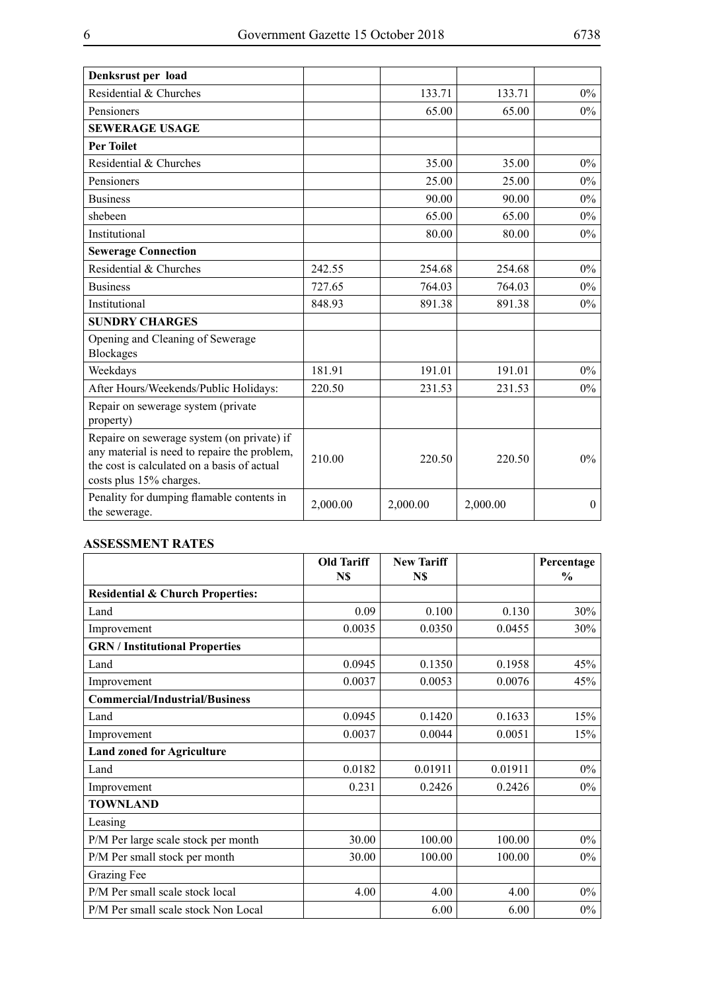| Denksrust per load                                                                                                                                                   |          |          |          |              |
|----------------------------------------------------------------------------------------------------------------------------------------------------------------------|----------|----------|----------|--------------|
| Residential & Churches                                                                                                                                               |          | 133.71   | 133.71   | $0\%$        |
| Pensioners                                                                                                                                                           |          | 65.00    | 65.00    | $0\%$        |
| <b>SEWERAGE USAGE</b>                                                                                                                                                |          |          |          |              |
| <b>Per Toilet</b>                                                                                                                                                    |          |          |          |              |
| Residential & Churches                                                                                                                                               |          | 35.00    | 35.00    | $0\%$        |
| Pensioners                                                                                                                                                           |          | 25.00    | 25.00    | $0\%$        |
| <b>Business</b>                                                                                                                                                      |          | 90.00    | 90.00    | $0\%$        |
| shebeen                                                                                                                                                              |          | 65.00    | 65.00    | $0\%$        |
| Institutional                                                                                                                                                        |          | 80.00    | 80.00    | $0\%$        |
| <b>Sewerage Connection</b>                                                                                                                                           |          |          |          |              |
| Residential & Churches                                                                                                                                               | 242.55   | 254.68   | 254.68   | $0\%$        |
| <b>Business</b>                                                                                                                                                      | 727.65   | 764.03   | 764.03   | $0\%$        |
| Institutional                                                                                                                                                        | 848.93   | 891.38   | 891.38   | $0\%$        |
| <b>SUNDRY CHARGES</b>                                                                                                                                                |          |          |          |              |
| Opening and Cleaning of Sewerage<br><b>Blockages</b>                                                                                                                 |          |          |          |              |
| Weekdays                                                                                                                                                             | 181.91   | 191.01   | 191.01   | $0\%$        |
| After Hours/Weekends/Public Holidays:                                                                                                                                | 220.50   | 231.53   | 231.53   | $0\%$        |
| Repair on sewerage system (private<br>property)                                                                                                                      |          |          |          |              |
| Repaire on sewerage system (on private) if<br>any material is need to repaire the problem,<br>the cost is calculated on a basis of actual<br>costs plus 15% charges. | 210.00   | 220.50   | 220.50   | $0\%$        |
| Penality for dumping flamable contents in<br>the sewerage.                                                                                                           | 2,000.00 | 2,000.00 | 2,000.00 | $\mathbf{0}$ |

#### **ASSESSMENT RATES**

|                                             | <b>Old Tariff</b><br>N\$ | <b>New Tariff</b><br>N\$ |         | Percentage<br>$\frac{0}{0}$ |
|---------------------------------------------|--------------------------|--------------------------|---------|-----------------------------|
| <b>Residential &amp; Church Properties:</b> |                          |                          |         |                             |
| Land                                        | 0.09                     | 0.100                    | 0.130   | 30%                         |
| Improvement                                 | 0.0035                   | 0.0350                   | 0.0455  | 30%                         |
| <b>GRN</b> / Institutional Properties       |                          |                          |         |                             |
| Land                                        | 0.0945                   | 0.1350                   | 0.1958  | 45%                         |
| Improvement                                 | 0.0037                   | 0.0053                   | 0.0076  | 45%                         |
| <b>Commercial/Industrial/Business</b>       |                          |                          |         |                             |
| Land                                        | 0.0945                   | 0.1420                   | 0.1633  | 15%                         |
| Improvement                                 | 0.0037                   | 0.0044                   | 0.0051  | 15%                         |
| <b>Land zoned for Agriculture</b>           |                          |                          |         |                             |
| Land                                        | 0.0182                   | 0.01911                  | 0.01911 | $0\%$                       |
| Improvement                                 | 0.231                    | 0.2426                   | 0.2426  | $0\%$                       |
| <b>TOWNLAND</b>                             |                          |                          |         |                             |
| Leasing                                     |                          |                          |         |                             |
| P/M Per large scale stock per month         | 30.00                    | 100.00                   | 100.00  | $0\%$                       |
| P/M Per small stock per month               | 30.00                    | 100.00                   | 100.00  | $0\%$                       |
| Grazing Fee                                 |                          |                          |         |                             |
| P/M Per small scale stock local             | 4.00                     | 4.00                     | 4.00    | $0\%$                       |
| P/M Per small scale stock Non Local         |                          | 6.00                     | 6.00    | $0\%$                       |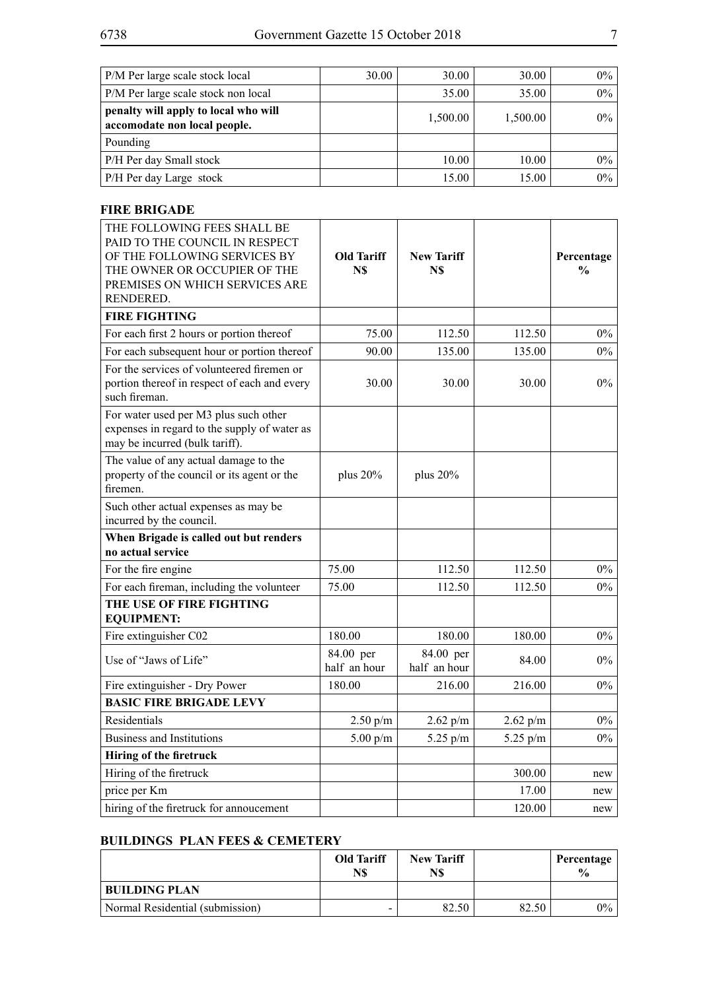| P/M Per large scale stock local                                      | 30.00 | 30.00    | 30.00    | $0\%$ |
|----------------------------------------------------------------------|-------|----------|----------|-------|
| P/M Per large scale stock non local                                  |       | 35.00    | 35.00    | $0\%$ |
| penalty will apply to local who will<br>accomodate non local people. |       | 1,500.00 | 1,500.00 | $0\%$ |
| Pounding                                                             |       |          |          |       |
| P/H Per day Small stock                                              |       | 10.00    | 10.00    | $0\%$ |
| P/H Per day Large stock                                              |       | 15.00    | 15.00    | $0\%$ |

#### **FIRE BRIGADE**

| THE FOLLOWING FEES SHALL BE<br>PAID TO THE COUNCIL IN RESPECT<br>OF THE FOLLOWING SERVICES BY<br>THE OWNER OR OCCUPIER OF THE<br>PREMISES ON WHICH SERVICES ARE<br>RENDERED. | <b>Old Tariff</b><br>N\$  | <b>New Tariff</b><br>N\$  |            | Percentage<br>$\frac{0}{0}$ |
|------------------------------------------------------------------------------------------------------------------------------------------------------------------------------|---------------------------|---------------------------|------------|-----------------------------|
| <b>FIRE FIGHTING</b>                                                                                                                                                         |                           |                           |            |                             |
| For each first 2 hours or portion thereof                                                                                                                                    | 75.00                     | 112.50                    | 112.50     | $0\%$                       |
| For each subsequent hour or portion thereof                                                                                                                                  | 90.00                     | 135.00                    | 135.00     | $0\%$                       |
| For the services of volunteered firemen or<br>portion thereof in respect of each and every<br>such fireman.                                                                  | 30.00                     | 30.00                     | 30.00      | $0\%$                       |
| For water used per M3 plus such other<br>expenses in regard to the supply of water as<br>may be incurred (bulk tariff).                                                      |                           |                           |            |                             |
| The value of any actual damage to the<br>property of the council or its agent or the<br>firemen.                                                                             | plus 20%                  | plus 20%                  |            |                             |
| Such other actual expenses as may be<br>incurred by the council.                                                                                                             |                           |                           |            |                             |
| When Brigade is called out but renders<br>no actual service                                                                                                                  |                           |                           |            |                             |
| For the fire engine                                                                                                                                                          | 75.00                     | 112.50                    | 112.50     | $0\%$                       |
| For each fireman, including the volunteer                                                                                                                                    | 75.00                     | 112.50                    | 112.50     | $0\%$                       |
| THE USE OF FIRE FIGHTING                                                                                                                                                     |                           |                           |            |                             |
| <b>EQUIPMENT:</b>                                                                                                                                                            |                           |                           |            |                             |
| Fire extinguisher C02                                                                                                                                                        | 180.00                    | 180.00                    | 180.00     | $0\%$                       |
| Use of "Jaws of Life"                                                                                                                                                        | 84.00 per<br>half an hour | 84.00 per<br>half an hour | 84.00      | $0\%$                       |
| Fire extinguisher - Dry Power                                                                                                                                                | 180.00                    | 216.00                    | 216.00     | $0\%$                       |
| <b>BASIC FIRE BRIGADE LEVY</b>                                                                                                                                               |                           |                           |            |                             |
| Residentials                                                                                                                                                                 | 2.50 p/m                  | 2.62 p/m                  | 2.62 p/m   | $0\%$                       |
| <b>Business and Institutions</b>                                                                                                                                             | $5.00\ \mathrm{p/m}$      | 5.25 p/m                  | $5.25$ p/m | 0%                          |
| Hiring of the firetruck                                                                                                                                                      |                           |                           |            |                             |
| Hiring of the firetruck                                                                                                                                                      |                           |                           | 300.00     | new                         |
| price per Km                                                                                                                                                                 |                           |                           | 17.00      | new                         |
| hiring of the firetruck for annoucement                                                                                                                                      |                           |                           | 120.00     | new                         |

# **BUILDINGS PLAN FEES & CEMETERY**

|                                 | <b>Old Tariff</b><br>N\$ | <b>New Tariff</b><br>N\$ |       | Percentage<br>$\frac{0}{0}$ |
|---------------------------------|--------------------------|--------------------------|-------|-----------------------------|
| <b>BUILDING PLAN</b>            |                          |                          |       |                             |
| Normal Residential (submission) |                          | 82.50                    | 82.50 | $0\%$                       |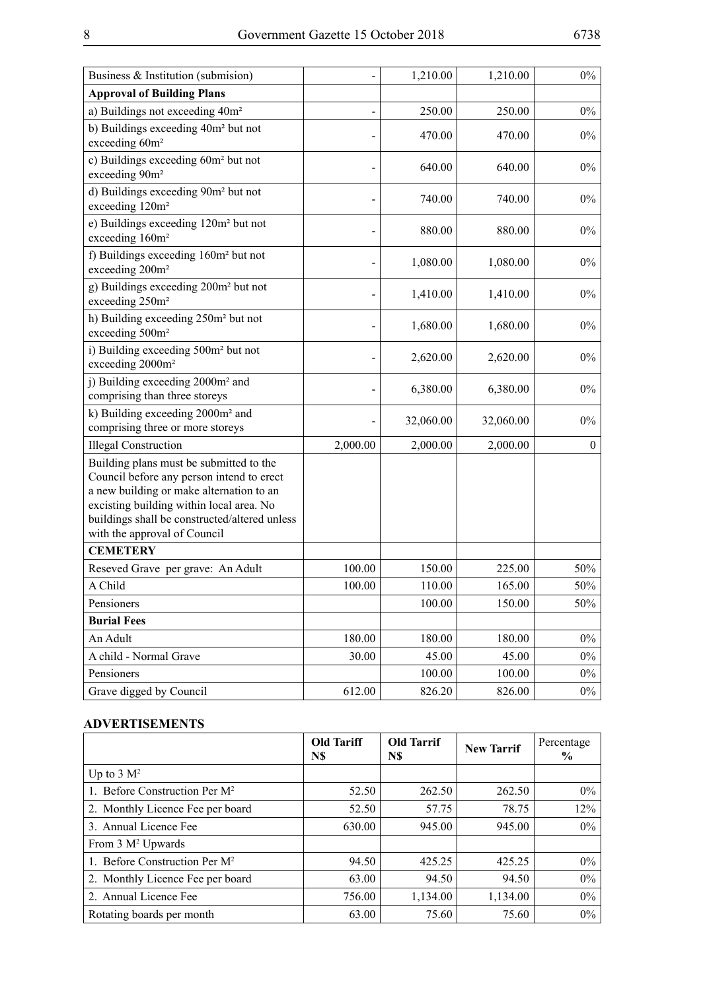| Business & Institution (submision)                                                                                                                                                                                                                            |          | 1,210.00  | 1,210.00  | $0\%$            |
|---------------------------------------------------------------------------------------------------------------------------------------------------------------------------------------------------------------------------------------------------------------|----------|-----------|-----------|------------------|
| <b>Approval of Building Plans</b>                                                                                                                                                                                                                             |          |           |           |                  |
| a) Buildings not exceeding 40m <sup>2</sup>                                                                                                                                                                                                                   |          | 250.00    | 250.00    | $0\%$            |
| b) Buildings exceeding 40m <sup>2</sup> but not<br>exceeding 60m <sup>2</sup>                                                                                                                                                                                 |          | 470.00    | 470.00    | $0\%$            |
| c) Buildings exceeding 60m <sup>2</sup> but not<br>exceeding 90m <sup>2</sup>                                                                                                                                                                                 |          | 640.00    | 640.00    | $0\%$            |
| d) Buildings exceeding 90m <sup>2</sup> but not<br>exceeding 120m <sup>2</sup>                                                                                                                                                                                |          | 740.00    | 740.00    | $0\%$            |
| e) Buildings exceeding 120m <sup>2</sup> but not<br>exceeding 160m <sup>2</sup>                                                                                                                                                                               |          | 880.00    | 880.00    | $0\%$            |
| f) Buildings exceeding 160m <sup>2</sup> but not<br>exceeding 200m <sup>2</sup>                                                                                                                                                                               |          | 1,080.00  | 1,080.00  | $0\%$            |
| g) Buildings exceeding 200m <sup>2</sup> but not<br>exceeding 250m <sup>2</sup>                                                                                                                                                                               |          | 1,410.00  | 1,410.00  | $0\%$            |
| h) Building exceeding 250m <sup>2</sup> but not<br>exceeding 500m <sup>2</sup>                                                                                                                                                                                |          | 1,680.00  | 1,680.00  | $0\%$            |
| i) Building exceeding 500m <sup>2</sup> but not<br>exceeding 2000m <sup>2</sup>                                                                                                                                                                               |          | 2,620.00  | 2,620.00  | $0\%$            |
| j) Building exceeding 2000m <sup>2</sup> and<br>comprising than three storeys                                                                                                                                                                                 |          | 6,380.00  | 6,380.00  | $0\%$            |
| k) Building exceeding 2000m <sup>2</sup> and<br>comprising three or more storeys                                                                                                                                                                              |          | 32,060.00 | 32,060.00 | $0\%$            |
| <b>Illegal Construction</b>                                                                                                                                                                                                                                   | 2,000.00 | 2,000.00  | 2,000.00  | $\boldsymbol{0}$ |
| Building plans must be submitted to the<br>Council before any person intend to erect<br>a new building or make alternation to an<br>excisting building within local area. No<br>buildings shall be constructed/altered unless<br>with the approval of Council |          |           |           |                  |
| <b>CEMETERY</b>                                                                                                                                                                                                                                               |          |           |           |                  |
| Reseved Grave per grave: An Adult                                                                                                                                                                                                                             | 100.00   | 150.00    | 225.00    | 50%              |
| A Child                                                                                                                                                                                                                                                       | 100.00   | 110.00    | 165.00    | 50%              |
| Pensioners                                                                                                                                                                                                                                                    |          | 100.00    | 150.00    | 50%              |
| <b>Burial Fees</b>                                                                                                                                                                                                                                            |          |           |           |                  |
| An Adult                                                                                                                                                                                                                                                      | 180.00   | 180.00    | 180.00    | $0\%$            |
| A child - Normal Grave                                                                                                                                                                                                                                        | 30.00    | 45.00     | 45.00     | $0\%$            |
| Pensioners                                                                                                                                                                                                                                                    |          | 100.00    | 100.00    | $0\%$            |
| Grave digged by Council                                                                                                                                                                                                                                       | 612.00   | 826.20    | 826.00    | $0\%$            |

#### **ADVERTISEMENTS**

|                                           | <b>Old Tariff</b><br>N\$ | <b>Old Tarrif</b><br>N\$ | <b>New Tarrif</b> | Percentage<br>$\%$ |
|-------------------------------------------|--------------------------|--------------------------|-------------------|--------------------|
| Up to $3 \text{ M}^2$                     |                          |                          |                   |                    |
| 1. Before Construction Per M <sup>2</sup> | 52.50                    | 262.50                   | 262.50            | 0%                 |
| 2. Monthly Licence Fee per board          | 52.50                    | 57.75                    | 78.75             | 12%                |
| 3. Annual Licence Fee                     | 630.00                   | 945.00                   | 945.00            | $0\%$              |
| From 3 M <sup>2</sup> Upwards             |                          |                          |                   |                    |
| 1. Before Construction Per M <sup>2</sup> | 94.50                    | 425.25                   | 425.25            | 0%                 |
| 2. Monthly Licence Fee per board          | 63.00                    | 94.50                    | 94.50             | 0%                 |
| 2. Annual Licence Fee                     | 756.00                   | 1,134.00                 | 1,134.00          | $0\%$              |
| Rotating boards per month                 | 63.00                    | 75.60                    | 75.60             | $0\%$              |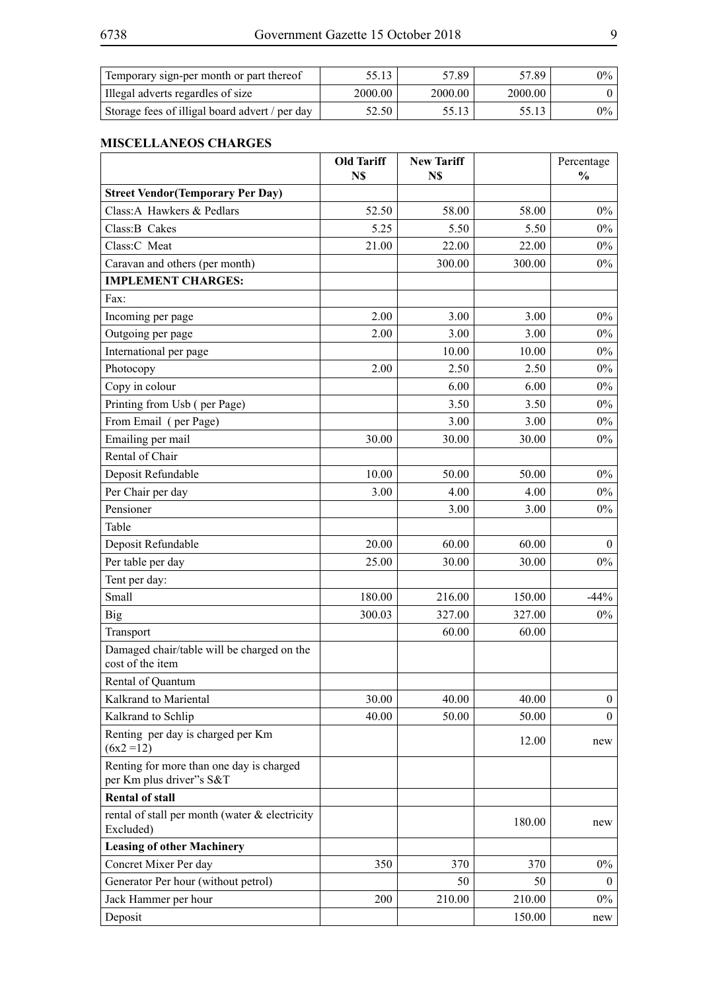| Temporary sign-per month or part thereof       |         | 57.89   | 57.89   | $0\%$ |
|------------------------------------------------|---------|---------|---------|-------|
| Illegal adverts regardles of size              | 2000.00 | 2000.00 | 2000.00 |       |
| Storage fees of illigal board advert / per day | 52.50   |         |         | $0\%$ |

#### **MISCELLANEOS CHARGES**

|                                                                      | <b>Old Tariff</b><br>N\$ | <b>New Tariff</b><br>N\$ |        | Percentage<br>$\frac{0}{0}$ |
|----------------------------------------------------------------------|--------------------------|--------------------------|--------|-----------------------------|
| <b>Street Vendor (Temporary Per Day)</b>                             |                          |                          |        |                             |
| Class: A Hawkers & Pedlars                                           | 52.50                    | 58.00                    | 58.00  | $0\%$                       |
| Class: B Cakes                                                       | 5.25                     | 5.50                     | 5.50   | $0\%$                       |
| Class:C Meat                                                         | 21.00                    | 22.00                    | 22.00  | $0\%$                       |
| Caravan and others (per month)                                       |                          | 300.00                   | 300.00 | $0\%$                       |
| <b>IMPLEMENT CHARGES:</b>                                            |                          |                          |        |                             |
| Fax:                                                                 |                          |                          |        |                             |
| Incoming per page                                                    | 2.00                     | 3.00                     | 3.00   | $0\%$                       |
| Outgoing per page                                                    | 2.00                     | 3.00                     | 3.00   | $0\%$                       |
| International per page                                               |                          | 10.00                    | 10.00  | $0\%$                       |
| Photocopy                                                            | 2.00                     | 2.50                     | 2.50   | $0\%$                       |
| Copy in colour                                                       |                          | 6.00                     | 6.00   | $0\%$                       |
| Printing from Usb (per Page)                                         |                          | 3.50                     | 3.50   | $0\%$                       |
| From Email (per Page)                                                |                          | 3.00                     | 3.00   | $0\%$                       |
| Emailing per mail                                                    | 30.00                    | 30.00                    | 30.00  | $0\%$                       |
| Rental of Chair                                                      |                          |                          |        |                             |
| Deposit Refundable                                                   | 10.00                    | 50.00                    | 50.00  | $0\%$                       |
| Per Chair per day                                                    | 3.00                     | 4.00                     | 4.00   | $0\%$                       |
| Pensioner                                                            |                          | 3.00                     | 3.00   | $0\%$                       |
| Table                                                                |                          |                          |        |                             |
| Deposit Refundable                                                   | 20.00                    | 60.00                    | 60.00  | $\mathbf{0}$                |
| Per table per day                                                    | 25.00                    | 30.00                    | 30.00  | $0\%$                       |
| Tent per day:                                                        |                          |                          |        |                             |
| Small                                                                | 180.00                   | 216.00                   | 150.00 | $-44%$                      |
| <b>Big</b>                                                           | 300.03                   | 327.00                   | 327.00 | $0\%$                       |
| Transport                                                            |                          | 60.00                    | 60.00  |                             |
| Damaged chair/table will be charged on the<br>cost of the item       |                          |                          |        |                             |
| Rental of Quantum                                                    |                          |                          |        |                             |
| Kalkrand to Mariental                                                | 30.00                    | 40.00                    | 40.00  | $\mathbf{0}$                |
| Kalkrand to Schlip                                                   | 40.00                    | 50.00                    | 50.00  | $\theta$                    |
| Renting per day is charged per Km<br>$(6x2 = 12)$                    |                          |                          | 12.00  | new                         |
| Renting for more than one day is charged<br>per Km plus driver"s S&T |                          |                          |        |                             |
| <b>Rental of stall</b>                                               |                          |                          |        |                             |
| rental of stall per month (water & electricity<br>Excluded)          |                          |                          | 180.00 | new                         |
| <b>Leasing of other Machinery</b>                                    |                          |                          |        |                             |
| Concret Mixer Per day                                                | 350                      | 370                      | 370    | $0\%$                       |
| Generator Per hour (without petrol)                                  |                          | 50                       | 50     | $\bf{0}$                    |
| Jack Hammer per hour                                                 | 200                      | 210.00                   | 210.00 | $0\%$                       |
| Deposit                                                              |                          |                          | 150.00 | new                         |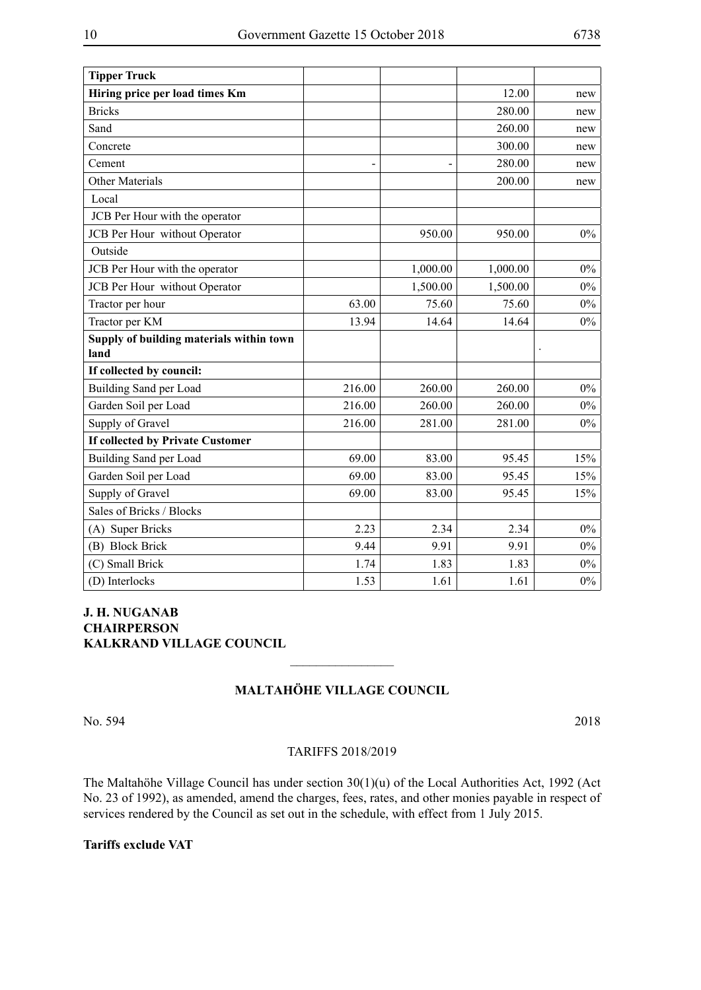| <b>Tipper Truck</b>                              |        |          |          |       |
|--------------------------------------------------|--------|----------|----------|-------|
| Hiring price per load times Km                   |        |          | 12.00    | new   |
| <b>Bricks</b>                                    |        |          | 280.00   | new   |
| Sand                                             |        |          | 260.00   | new   |
| Concrete                                         |        |          | 300.00   | new   |
| Cement                                           |        |          | 280.00   | new   |
| <b>Other Materials</b>                           |        |          | 200.00   | new   |
| Local                                            |        |          |          |       |
| JCB Per Hour with the operator                   |        |          |          |       |
| JCB Per Hour without Operator                    |        | 950.00   | 950.00   | $0\%$ |
| Outside                                          |        |          |          |       |
| JCB Per Hour with the operator                   |        | 1,000.00 | 1,000.00 | $0\%$ |
| JCB Per Hour without Operator                    |        | 1,500.00 | 1,500.00 | $0\%$ |
| Tractor per hour                                 | 63.00  | 75.60    | 75.60    | $0\%$ |
| Tractor per KM                                   | 13.94  | 14.64    | 14.64    | $0\%$ |
| Supply of building materials within town<br>land |        |          |          |       |
| If collected by council:                         |        |          |          |       |
| Building Sand per Load                           | 216.00 | 260.00   | 260.00   | $0\%$ |
| Garden Soil per Load                             | 216.00 | 260.00   | 260.00   | $0\%$ |
| Supply of Gravel                                 | 216.00 | 281.00   | 281.00   | $0\%$ |
| If collected by Private Customer                 |        |          |          |       |
| Building Sand per Load                           | 69.00  | 83.00    | 95.45    | 15%   |
| Garden Soil per Load                             | 69.00  | 83.00    | 95.45    | 15%   |
| Supply of Gravel                                 | 69.00  | 83.00    | 95.45    | 15%   |
| Sales of Bricks / Blocks                         |        |          |          |       |
| (A) Super Bricks                                 | 2.23   | 2.34     | 2.34     | $0\%$ |
| (B) Block Brick                                  | 9.44   | 9.91     | 9.91     | $0\%$ |
| (C) Small Brick                                  | 1.74   | 1.83     | 1.83     | $0\%$ |
| (D) Interlocks                                   | 1.53   | 1.61     | 1.61     | $0\%$ |

#### **J. H. Nuganab Chairperson Kalkrand Village Council**

# **Maltahöhe Village Council**

 $\frac{1}{2}$ 

```
No. 594 2018
```
#### TARIFFS 2018/2019

The Maltahöhe Village Council has under section 30(1)(u) of the Local Authorities Act, 1992 (Act No. 23 of 1992), as amended, amend the charges, fees, rates, and other monies payable in respect of services rendered by the Council as set out in the schedule, with effect from 1 July 2015.

**Tariffs exclude VAT**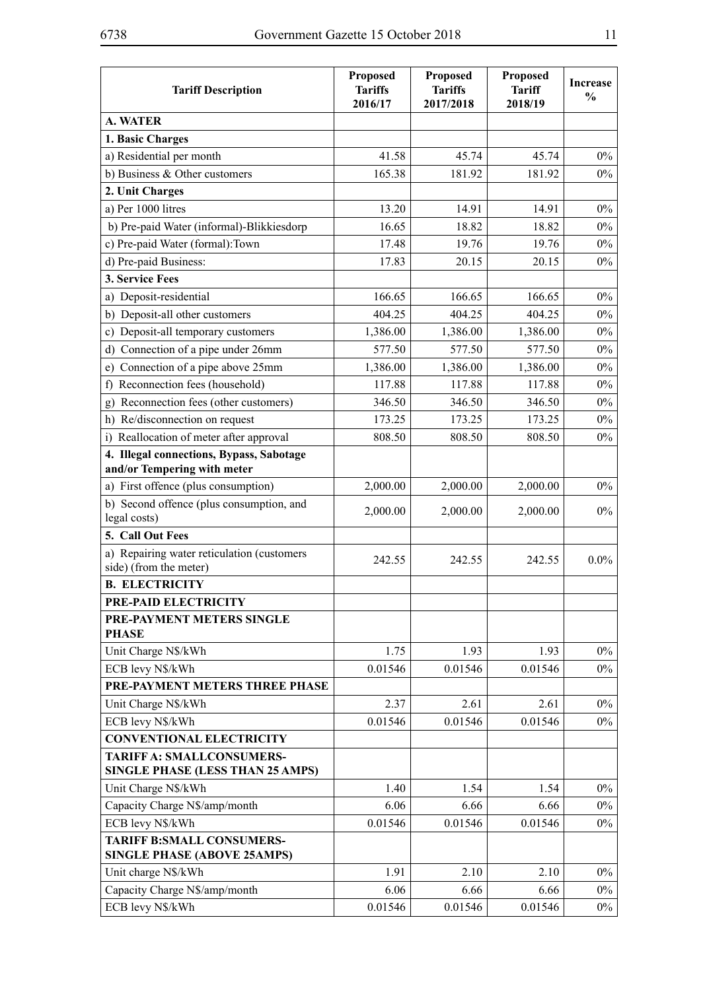| <b>Tariff Description</b>                                            | Proposed<br><b>Tariffs</b><br>2016/17 | Proposed<br><b>Tariffs</b><br>2017/2018 | Proposed<br><b>Tariff</b><br>2018/19 | <b>Increase</b><br>$\frac{0}{0}$ |
|----------------------------------------------------------------------|---------------------------------------|-----------------------------------------|--------------------------------------|----------------------------------|
| <b>A. WATER</b>                                                      |                                       |                                         |                                      |                                  |
| 1. Basic Charges                                                     |                                       |                                         |                                      |                                  |
| a) Residential per month                                             | 41.58                                 | 45.74                                   | 45.74                                | $0\%$                            |
| b) Business & Other customers                                        | 165.38                                | 181.92                                  | 181.92                               | $0\%$                            |
| 2. Unit Charges                                                      |                                       |                                         |                                      |                                  |
| a) Per 1000 litres                                                   | 13.20                                 | 14.91                                   | 14.91                                | $0\%$                            |
| b) Pre-paid Water (informal)-Blikkiesdorp                            | 16.65                                 | 18.82                                   | 18.82                                | $0\%$                            |
| c) Pre-paid Water (formal): Town                                     | 17.48                                 | 19.76                                   | 19.76                                | $0\%$                            |
| d) Pre-paid Business:                                                | 17.83                                 | 20.15                                   | 20.15                                | $0\%$                            |
| 3. Service Fees                                                      |                                       |                                         |                                      |                                  |
| a) Deposit-residential                                               | 166.65                                | 166.65                                  | 166.65                               | $0\%$                            |
| b) Deposit-all other customers                                       | 404.25                                | 404.25                                  | 404.25                               | $0\%$                            |
| c) Deposit-all temporary customers                                   | 1,386.00                              | 1,386.00                                | 1,386.00                             | $0\%$                            |
| Connection of a pipe under 26mm<br>d)                                | 577.50                                | 577.50                                  | 577.50                               | $0\%$                            |
| Connection of a pipe above 25mm<br>e)                                | 1,386.00                              | 1,386.00                                | 1,386.00                             | $0\%$                            |
| Reconnection fees (household)<br>f)                                  | 117.88                                | 117.88                                  | 117.88                               | $0\%$                            |
| Reconnection fees (other customers)<br>g)                            | 346.50                                | 346.50                                  | 346.50                               | $0\%$                            |
| Re/disconnection on request<br>h)                                    | 173.25                                | 173.25                                  | 173.25                               | $0\%$                            |
| i) Reallocation of meter after approval                              | 808.50                                | 808.50                                  | 808.50                               | $0\%$                            |
| 4. Illegal connections, Bypass, Sabotage                             |                                       |                                         |                                      |                                  |
| and/or Tempering with meter                                          |                                       |                                         |                                      |                                  |
| a) First offence (plus consumption)                                  | 2,000.00                              | 2,000.00                                | 2,000.00                             | $0\%$                            |
| b) Second offence (plus consumption, and                             | 2,000.00                              | 2,000.00                                | 2,000.00                             | $0\%$                            |
| legal costs)                                                         |                                       |                                         |                                      |                                  |
| 5. Call Out Fees                                                     |                                       |                                         |                                      |                                  |
| a) Repairing water reticulation (customers<br>side) (from the meter) | 242.55                                | 242.55                                  | 242.55                               | $0.0\%$                          |
| <b>B. ELECTRICITY</b>                                                |                                       |                                         |                                      |                                  |
| PRE-PAID ELECTRICITY                                                 |                                       |                                         |                                      |                                  |
| PRE-PAYMENT METERS SINGLE<br><b>PHASE</b>                            |                                       |                                         |                                      |                                  |
| Unit Charge N\$/kWh                                                  | 1.75                                  | 1.93                                    | 1.93                                 | $0\%$                            |
| ECB levy N\$/kWh                                                     | 0.01546                               | 0.01546                                 | 0.01546                              | $0\%$                            |
| PRE-PAYMENT METERS THREE PHASE                                       |                                       |                                         |                                      |                                  |
| Unit Charge N\$/kWh                                                  | 2.37                                  | 2.61                                    | 2.61                                 | $0\%$                            |
| ECB levy N\$/kWh                                                     | 0.01546                               | 0.01546                                 | 0.01546                              | $0\%$                            |
| <b>CONVENTIONAL ELECTRICITY</b>                                      |                                       |                                         |                                      |                                  |
| <b>TARIFF A: SMALLCONSUMERS-</b><br>SINGLE PHASE (LESS THAN 25 AMPS) |                                       |                                         |                                      |                                  |
| Unit Charge N\$/kWh                                                  | 1.40                                  | 1.54                                    | 1.54                                 | $0\%$                            |
| Capacity Charge N\$/amp/month                                        | 6.06                                  | 6.66                                    | 6.66                                 | $0\%$                            |
| ECB levy N\$/kWh                                                     | 0.01546                               | 0.01546                                 | 0.01546                              | $0\%$                            |
| <b>TARIFF B:SMALL CONSUMERS-</b>                                     |                                       |                                         |                                      |                                  |
| <b>SINGLE PHASE (ABOVE 25AMPS)</b>                                   |                                       |                                         |                                      |                                  |
| Unit charge N\$/kWh                                                  | 1.91                                  | 2.10                                    | 2.10                                 | $0\%$                            |
| Capacity Charge N\$/amp/month                                        | 6.06                                  | 6.66                                    | 6.66                                 | $0\%$                            |
| ECB levy N\$/kWh                                                     | 0.01546                               | 0.01546                                 | 0.01546                              | $0\%$                            |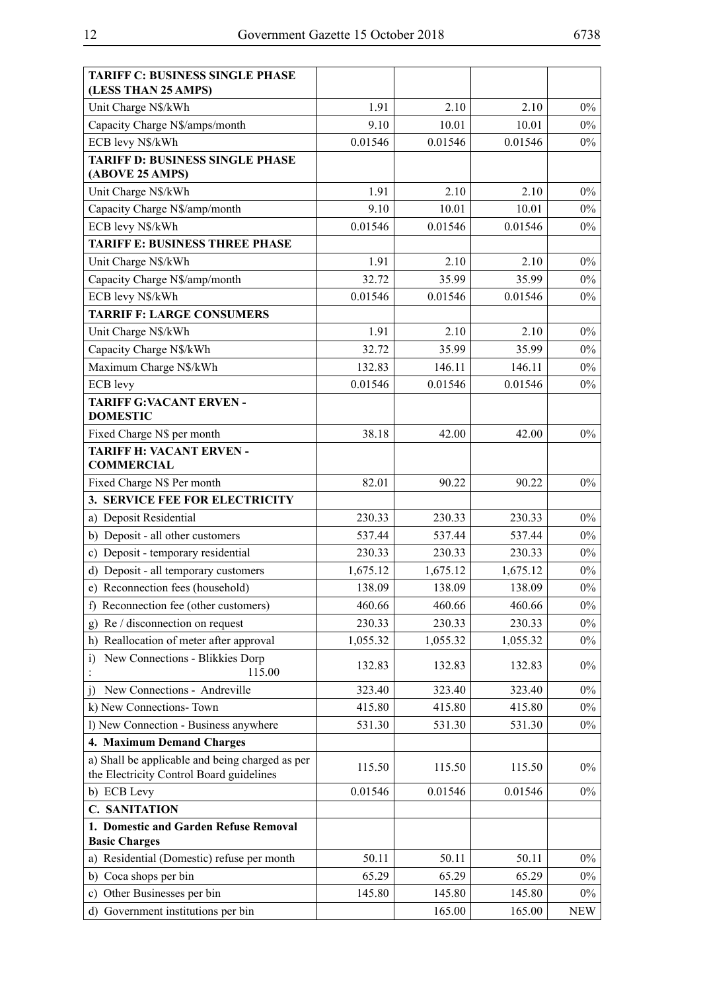| <b>TARIFF C: BUSINESS SINGLE PHASE</b><br>(LESS THAN 25 AMPS) |          |          |          |            |
|---------------------------------------------------------------|----------|----------|----------|------------|
| Unit Charge N\$/kWh                                           | 1.91     | 2.10     | 2.10     | $0\%$      |
| Capacity Charge N\$/amps/month                                | 9.10     | 10.01    | 10.01    | $0\%$      |
| ECB levy N\$/kWh                                              | 0.01546  | 0.01546  | 0.01546  | $0\%$      |
| <b>TARIFF D: BUSINESS SINGLE PHASE</b>                        |          |          |          |            |
| (ABOVE 25 AMPS)                                               |          |          |          |            |
| Unit Charge N\$/kWh                                           | 1.91     | 2.10     | 2.10     | $0\%$      |
| Capacity Charge N\$/amp/month                                 | 9.10     | 10.01    | 10.01    | $0\%$      |
| ECB levy N\$/kWh                                              | 0.01546  | 0.01546  | 0.01546  | $0\%$      |
| <b>TARIFF E: BUSINESS THREE PHASE</b>                         |          |          |          |            |
| Unit Charge N\$/kWh                                           | 1.91     | 2.10     | 2.10     | $0\%$      |
| Capacity Charge N\$/amp/month                                 | 32.72    | 35.99    | 35.99    | $0\%$      |
| ECB levy N\$/kWh                                              | 0.01546  | 0.01546  | 0.01546  | $0\%$      |
| <b>TARRIF F: LARGE CONSUMERS</b>                              |          |          |          |            |
| Unit Charge N\$/kWh                                           | 1.91     | 2.10     | 2.10     | $0\%$      |
| Capacity Charge N\$/kWh                                       | 32.72    | 35.99    | 35.99    | $0\%$      |
| Maximum Charge N\$/kWh                                        | 132.83   | 146.11   | 146.11   | $0\%$      |
| ECB levy                                                      | 0.01546  | 0.01546  | 0.01546  | $0\%$      |
| <b>TARIFF G:VACANT ERVEN -</b><br><b>DOMESTIC</b>             |          |          |          |            |
| Fixed Charge N\$ per month                                    | 38.18    | 42.00    | 42.00    | $0\%$      |
| <b>TARIFF H: VACANT ERVEN -</b>                               |          |          |          |            |
| <b>COMMERCIAL</b>                                             |          |          |          |            |
| Fixed Charge N\$ Per month                                    | 82.01    | 90.22    | 90.22    | $0\%$      |
| 3. SERVICE FEE FOR ELECTRICITY                                |          |          |          |            |
| a) Deposit Residential                                        | 230.33   | 230.33   | 230.33   | $0\%$      |
| b) Deposit - all other customers                              | 537.44   | 537.44   | 537.44   | $0\%$      |
| c) Deposit - temporary residential                            | 230.33   | 230.33   | 230.33   | $0\%$      |
| d) Deposit - all temporary customers                          | 1,675.12 | 1,675.12 | 1,675.12 | $0\%$      |
| e) Reconnection fees (household)                              | 138.09   | 138.09   | 138.09   | $0\%$      |
| f) Reconnection fee (other customers)                         | 460.66   | 460.66   | 460.66   | $0\%$      |
| Re / disconnection on request<br>g)                           | 230.33   | 230.33   | 230.33   | $0\%$      |
| Reallocation of meter after approval<br>h)                    | 1,055.32 | 1,055.32 | 1,055.32 | $0\%$      |
| New Connections - Blikkies Dorp<br>$\ddot{1}$<br>115.00       | 132.83   | 132.83   | 132.83   | $0\%$      |
| New Connections - Andreville<br>$\overline{1}$                | 323.40   | 323.40   | 323.40   | $0\%$      |
| k) New Connections-Town                                       | 415.80   | 415.80   | 415.80   | $0\%$      |
| l) New Connection - Business anywhere                         | 531.30   | 531.30   | 531.30   | $0\%$      |
| 4. Maximum Demand Charges                                     |          |          |          |            |
| a) Shall be applicable and being charged as per               | 115.50   | 115.50   | 115.50   | $0\%$      |
| the Electricity Control Board guidelines                      |          |          |          |            |
| b) ECB Levy                                                   | 0.01546  | 0.01546  | 0.01546  | $0\%$      |
| <b>C. SANITATION</b>                                          |          |          |          |            |
| 1. Domestic and Garden Refuse Removal<br><b>Basic Charges</b> |          |          |          |            |
| a) Residential (Domestic) refuse per month                    | 50.11    | 50.11    | 50.11    | $0\%$      |
| b) Coca shops per bin                                         | 65.29    | 65.29    | 65.29    | $0\%$      |
| Other Businesses per bin<br>C)                                | 145.80   | 145.80   | 145.80   | $0\%$      |
| d) Government institutions per bin                            |          | 165.00   | 165.00   | <b>NEW</b> |
|                                                               |          |          |          |            |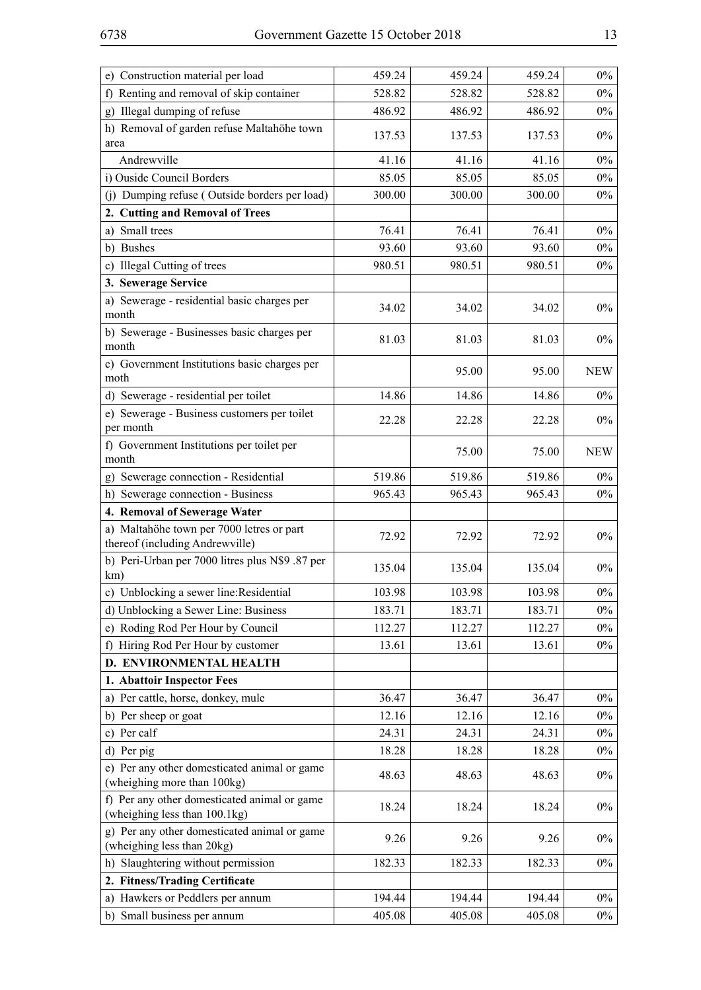| e) Construction material per load                                             | 459.24 | 459.24 | 459.24 | $0\%$      |
|-------------------------------------------------------------------------------|--------|--------|--------|------------|
| f) Renting and removal of skip container                                      | 528.82 | 528.82 | 528.82 | $0\%$      |
| Illegal dumping of refuse<br>$\mathbf{g}$ )                                   | 486.92 | 486.92 | 486.92 | $0\%$      |
| h) Removal of garden refuse Maltahöhe town                                    | 137.53 | 137.53 | 137.53 | $0\%$      |
| area<br>Andrewville                                                           | 41.16  | 41.16  | 41.16  | $0\%$      |
| i) Ouside Council Borders                                                     | 85.05  | 85.05  | 85.05  | $0\%$      |
| (j) Dumping refuse (Outside borders per load)                                 | 300.00 | 300.00 | 300.00 | $0\%$      |
| 2. Cutting and Removal of Trees                                               |        |        |        |            |
| a) Small trees                                                                | 76.41  | 76.41  | 76.41  | $0\%$      |
| b) Bushes                                                                     | 93.60  | 93.60  | 93.60  | $0\%$      |
| c) Illegal Cutting of trees                                                   | 980.51 | 980.51 | 980.51 | $0\%$      |
| 3. Sewerage Service                                                           |        |        |        |            |
| a) Sewerage - residential basic charges per                                   |        |        |        |            |
| month                                                                         | 34.02  | 34.02  | 34.02  | $0\%$      |
| b) Sewerage - Businesses basic charges per<br>month                           | 81.03  | 81.03  | 81.03  | $0\%$      |
| c) Government Institutions basic charges per<br>moth                          |        | 95.00  | 95.00  | <b>NEW</b> |
| d) Sewerage - residential per toilet                                          | 14.86  | 14.86  | 14.86  | $0\%$      |
| e) Sewerage - Business customers per toilet<br>per month                      | 22.28  | 22.28  | 22.28  | $0\%$      |
| f) Government Institutions per toilet per<br>month                            |        | 75.00  | 75.00  | <b>NEW</b> |
| g) Sewerage connection - Residential                                          | 519.86 | 519.86 | 519.86 | $0\%$      |
| h) Sewerage connection - Business                                             | 965.43 | 965.43 | 965.43 | $0\%$      |
| 4. Removal of Sewerage Water                                                  |        |        |        |            |
| a) Maltahöhe town per 7000 letres or part<br>thereof (including Andrewville)  | 72.92  | 72.92  | 72.92  | $0\%$      |
| b) Peri-Urban per 7000 litres plus N\$9 .87 per<br>km)                        | 135.04 | 135.04 | 135.04 | $0\%$      |
| c) Unblocking a sewer line: Residential                                       | 103.98 | 103.98 | 103.98 | $0\%$      |
| d) Unblocking a Sewer Line: Business                                          | 183.71 | 183.71 | 183.71 | $0\%$      |
| e) Roding Rod Per Hour by Council                                             | 112.27 | 112.27 | 112.27 | $0\%$      |
| f) Hiring Rod Per Hour by customer                                            | 13.61  | 13.61  | 13.61  | $0\%$      |
| D. ENVIRONMENTAL HEALTH                                                       |        |        |        |            |
| 1. Abattoir Inspector Fees                                                    |        |        |        |            |
| a) Per cattle, horse, donkey, mule                                            | 36.47  | 36.47  | 36.47  | $0\%$      |
| b) Per sheep or goat                                                          | 12.16  | 12.16  | 12.16  | $0\%$      |
| c) Per calf                                                                   | 24.31  | 24.31  | 24.31  | $0\%$      |
| d) Per pig                                                                    | 18.28  | 18.28  | 18.28  | $0\%$      |
| e) Per any other domesticated animal or game<br>(wheighing more than 100kg)   | 48.63  | 48.63  | 48.63  | $0\%$      |
| f) Per any other domesticated animal or game<br>(wheighing less than 100.1kg) | 18.24  | 18.24  | 18.24  | $0\%$      |
| g) Per any other domesticated animal or game<br>(wheighing less than 20kg)    | 9.26   | 9.26   | 9.26   | $0\%$      |
| Slaughtering without permission<br>h)                                         | 182.33 | 182.33 | 182.33 | $0\%$      |
| 2. Fitness/Trading Certificate                                                |        |        |        |            |
| a) Hawkers or Peddlers per annum                                              | 194.44 | 194.44 | 194.44 | $0\%$      |
| b) Small business per annum                                                   | 405.08 | 405.08 | 405.08 | $0\%$      |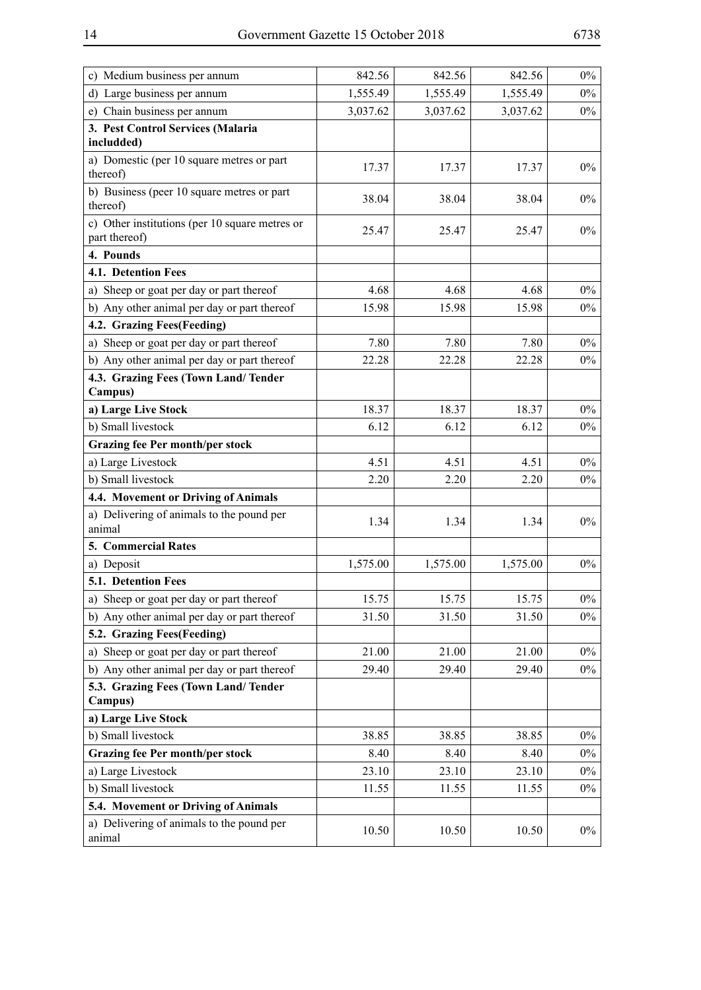| c) Medium business per annum                                    | 842.56   | 842.56   | 842.56   | $0\%$ |
|-----------------------------------------------------------------|----------|----------|----------|-------|
| d) Large business per annum                                     | 1,555.49 | 1,555.49 | 1,555.49 | $0\%$ |
| e) Chain business per annum                                     | 3,037.62 | 3,037.62 | 3,037.62 | $0\%$ |
| 3. Pest Control Services (Malaria                               |          |          |          |       |
| includded)                                                      |          |          |          |       |
| a) Domestic (per 10 square metres or part<br>thereof)           | 17.37    | 17.37    | 17.37    | $0\%$ |
| b) Business (peer 10 square metres or part<br>thereof)          | 38.04    | 38.04    | 38.04    | $0\%$ |
| c) Other institutions (per 10 square metres or<br>part thereof) | 25.47    | 25.47    | 25.47    | $0\%$ |
| 4. Pounds                                                       |          |          |          |       |
| 4.1. Detention Fees                                             |          |          |          |       |
| a) Sheep or goat per day or part thereof                        | 4.68     | 4.68     | 4.68     | $0\%$ |
| b) Any other animal per day or part thereof                     | 15.98    | 15.98    | 15.98    | $0\%$ |
| 4.2. Grazing Fees(Feeding)                                      |          |          |          |       |
| a) Sheep or goat per day or part thereof                        | 7.80     | 7.80     | 7.80     | $0\%$ |
| b) Any other animal per day or part thereof                     | 22.28    | 22.28    | 22.28    | $0\%$ |
| 4.3. Grazing Fees (Town Land/Tender<br>Campus)                  |          |          |          |       |
| a) Large Live Stock                                             | 18.37    | 18.37    | 18.37    | $0\%$ |
| b) Small livestock                                              | 6.12     | 6.12     | 6.12     | $0\%$ |
| <b>Grazing fee Per month/per stock</b>                          |          |          |          |       |
| a) Large Livestock                                              | 4.51     | 4.51     | 4.51     | $0\%$ |
| b) Small livestock                                              | 2.20     | 2.20     | 2.20     | $0\%$ |
| 4.4. Movement or Driving of Animals                             |          |          |          |       |
| a) Delivering of animals to the pound per<br>animal             | 1.34     | 1.34     | 1.34     | $0\%$ |
| 5. Commercial Rates                                             |          |          |          |       |
| a) Deposit                                                      | 1,575.00 | 1,575.00 | 1,575.00 | $0\%$ |
| 5.1. Detention Fees                                             |          |          |          |       |
| a) Sheep or goat per day or part thereof                        | 15.75    | 15.75    | 15.75    | $0\%$ |
| b) Any other animal per day or part thereof                     | 31.50    | 31.50    | 31.50    | $0\%$ |
| 5.2. Grazing Fees(Feeding)                                      |          |          |          |       |
| a) Sheep or goat per day or part thereof                        | 21.00    | 21.00    | 21.00    | $0\%$ |
| b) Any other animal per day or part thereof                     | 29.40    | 29.40    | 29.40    | $0\%$ |
| 5.3. Grazing Fees (Town Land/Tender<br>Campus)                  |          |          |          |       |
| a) Large Live Stock                                             |          |          |          |       |
| b) Small livestock                                              | 38.85    | 38.85    | 38.85    | $0\%$ |
| <b>Grazing fee Per month/per stock</b>                          | 8.40     | 8.40     | 8.40     | $0\%$ |
| a) Large Livestock                                              | 23.10    | 23.10    | 23.10    | $0\%$ |
| b) Small livestock                                              | 11.55    | 11.55    | 11.55    | $0\%$ |
| 5.4. Movement or Driving of Animals                             |          |          |          |       |
| a) Delivering of animals to the pound per<br>animal             | 10.50    | 10.50    | 10.50    | $0\%$ |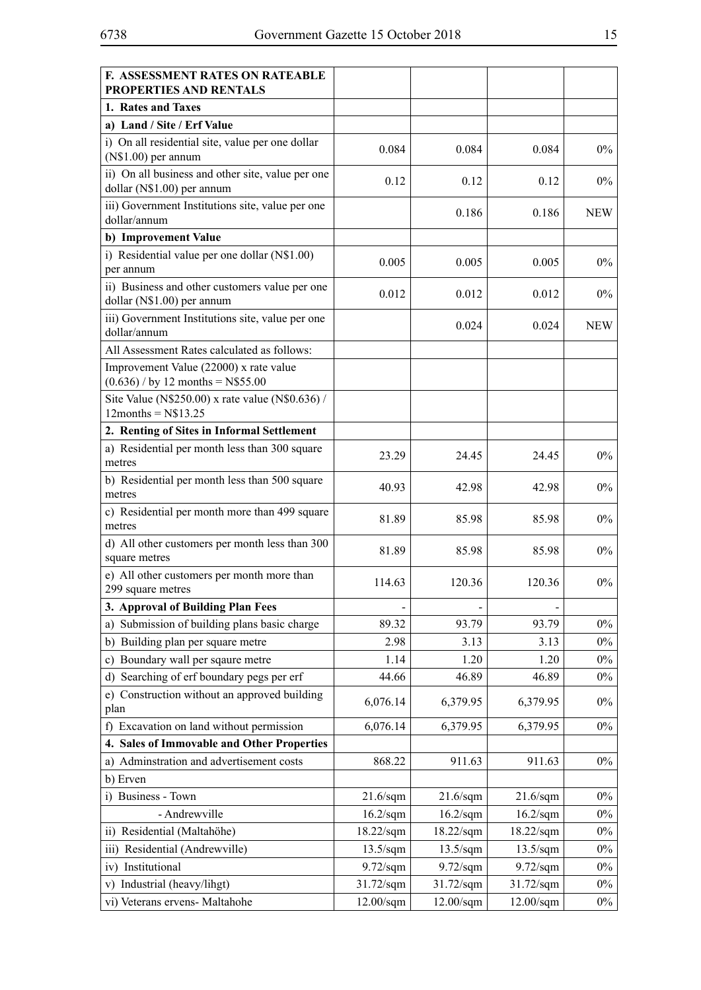| <b>F. ASSESSMENT RATES ON RATEABLE</b><br>PROPERTIES AND RENTALS                |                      |                     |                     |            |
|---------------------------------------------------------------------------------|----------------------|---------------------|---------------------|------------|
| 1. Rates and Taxes                                                              |                      |                     |                     |            |
| a) Land / Site / Erf Value                                                      |                      |                     |                     |            |
| i) On all residential site, value per one dollar<br>$(N$1.00)$ per annum        | 0.084                | 0.084               | 0.084               | $0\%$      |
| ii) On all business and other site, value per one<br>dollar (N\$1.00) per annum | 0.12                 | 0.12                | 0.12                | $0\%$      |
| iii) Government Institutions site, value per one<br>dollar/annum                |                      | 0.186               | 0.186               | <b>NEW</b> |
| b) Improvement Value                                                            |                      |                     |                     |            |
| i) Residential value per one dollar (N\$1.00)<br>per annum                      | 0.005                | 0.005               | 0.005               | $0\%$      |
| ii) Business and other customers value per one<br>dollar (N\$1.00) per annum    | 0.012                | 0.012               | 0.012               | $0\%$      |
| iii) Government Institutions site, value per one<br>dollar/annum                |                      | 0.024               | 0.024               | <b>NEW</b> |
| All Assessment Rates calculated as follows:                                     |                      |                     |                     |            |
| Improvement Value (22000) x rate value<br>$(0.636)$ / by 12 months = N\$55.00   |                      |                     |                     |            |
| Site Value (N\$250.00) x rate value (N\$0.636) /<br>$12$ months = $N$13.25$     |                      |                     |                     |            |
| 2. Renting of Sites in Informal Settlement                                      |                      |                     |                     |            |
| a) Residential per month less than 300 square<br>metres                         | 23.29                | 24.45               | 24.45               | $0\%$      |
| b) Residential per month less than 500 square<br>metres                         | 40.93                | 42.98               | 42.98               | $0\%$      |
| c) Residential per month more than 499 square<br>metres                         | 81.89                | 85.98               | 85.98               | $0\%$      |
| d) All other customers per month less than 300<br>square metres                 | 81.89                | 85.98               | 85.98               | $0\%$      |
| e) All other customers per month more than<br>299 square metres                 | 114.63               | 120.36              | 120.36              | $0\%$      |
| 3. Approval of Building Plan Fees                                               |                      |                     |                     |            |
| Submission of building plans basic charge<br>a)                                 | 89.32                | 93.79               | 93.79               | $0\%$      |
| Building plan per square metre<br>b)                                            | 2.98                 | 3.13                | 3.13                | $0\%$      |
| Boundary wall per sqaure metre<br>c)                                            | 1.14                 | 1.20                | 1.20                | $0\%$      |
| Searching of erf boundary pegs per erf<br>d)                                    | 44.66                | 46.89               | 46.89               | $0\%$      |
| Construction without an approved building<br>e)<br>plan                         | 6,076.14             | 6,379.95            | 6,379.95            | $0\%$      |
| Excavation on land without permission<br>f)                                     | 6,076.14             | 6,379.95            | 6,379.95            | $0\%$      |
| 4. Sales of Immovable and Other Properties                                      |                      |                     |                     |            |
| Adminstration and advertisement costs<br>a)                                     | 868.22               | 911.63              | 911.63              | $0\%$      |
| b) Erven                                                                        |                      |                     |                     |            |
| i) Business - Town                                                              | $21.6$ /sqm          | $21.6$ /sqm         | $21.6$ /sqm         | $0\%$      |
| - Andrewville                                                                   | $16.2$ /sqm          | $16.2$ /sqm         | $16.2$ /sqm         | $0\%$      |
| ii) Residential (Maltahöhe)                                                     | $18.22/\mathrm{sqm}$ | 18.22/sqm           | $18.22$ /sqm        | $0\%$      |
| Residential (Andrewville)<br>$\overline{iii}$                                   | $13.5/\mathrm{sqm}$  | $13.5/\mathrm{sqm}$ | $13.5/\mathrm{sgm}$ | $0\%$      |
| Institutional<br>iv)                                                            | $9.72$ /sqm          | $9.72$ /sqm         | $9.72$ /sqm         | $0\%$      |
| Industrial (heavy/lihgt)<br>V)                                                  | $31.72$ /sqm         | 31.72/sqm           | 31.72/sqm           | $0\%$      |
| vi) Veterans ervens- Maltahohe                                                  | $12.00/\mathrm{sqm}$ | $12.00$ /sqm        | $12.00$ /sqm        | $0\%$      |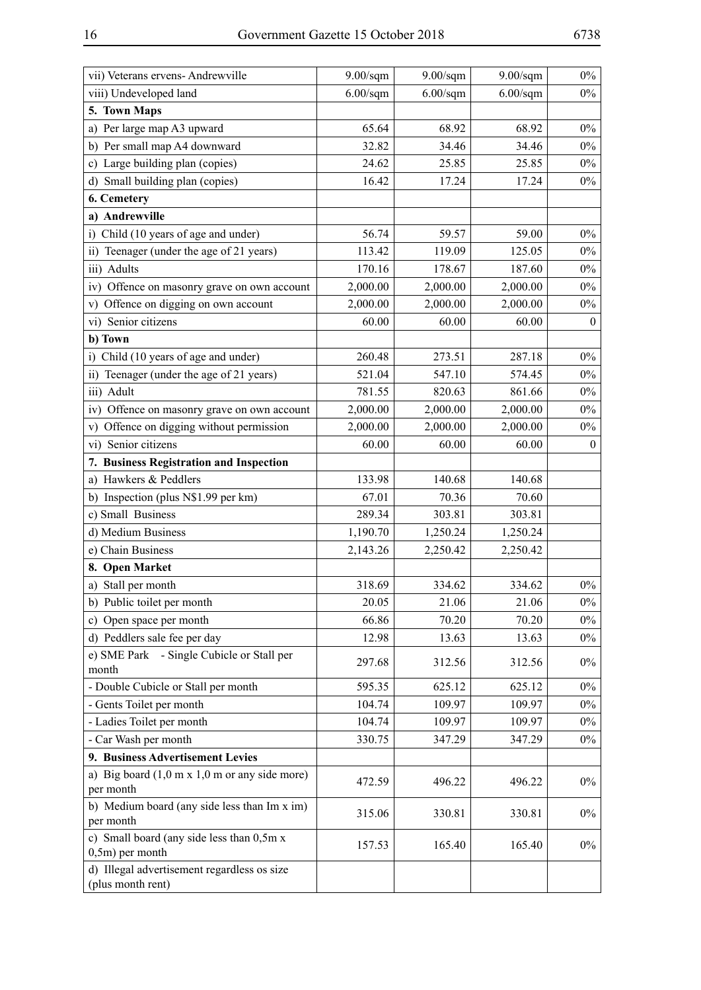| viii) Undeveloped land<br>5. Town Maps<br>a) Per large map A3 upward<br>b) Per small map A4 downward<br>c) Large building plan (copies)<br>d) Small building plan (copies)<br>6. Cemetery<br>a) Andrewville | $6.00$ /sqm<br>65.64<br>32.82<br>24.62<br>16.42<br>56.74<br>113.42<br>170.16<br>2,000.00<br>2,000.00<br>60.00 | $6.00$ /sqm<br>68.92<br>34.46<br>25.85<br>17.24<br>59.57<br>119.09<br>178.67<br>2,000.00<br>2,000.00 | $6.00$ /sqm<br>68.92<br>34.46<br>25.85<br>17.24<br>59.00<br>125.05<br>187.60<br>2,000.00 | $0\%$<br>$0\%$<br>$0\%$<br>$0\%$<br>$0\%$<br>$0\%$<br>$0\%$<br>$0\%$ |
|-------------------------------------------------------------------------------------------------------------------------------------------------------------------------------------------------------------|---------------------------------------------------------------------------------------------------------------|------------------------------------------------------------------------------------------------------|------------------------------------------------------------------------------------------|----------------------------------------------------------------------|
|                                                                                                                                                                                                             |                                                                                                               |                                                                                                      |                                                                                          |                                                                      |
|                                                                                                                                                                                                             |                                                                                                               |                                                                                                      |                                                                                          |                                                                      |
|                                                                                                                                                                                                             |                                                                                                               |                                                                                                      |                                                                                          |                                                                      |
|                                                                                                                                                                                                             |                                                                                                               |                                                                                                      |                                                                                          |                                                                      |
|                                                                                                                                                                                                             |                                                                                                               |                                                                                                      |                                                                                          |                                                                      |
|                                                                                                                                                                                                             |                                                                                                               |                                                                                                      |                                                                                          |                                                                      |
|                                                                                                                                                                                                             |                                                                                                               |                                                                                                      |                                                                                          |                                                                      |
|                                                                                                                                                                                                             |                                                                                                               |                                                                                                      |                                                                                          |                                                                      |
| i) Child (10 years of age and under)                                                                                                                                                                        |                                                                                                               |                                                                                                      |                                                                                          |                                                                      |
| ii) Teenager (under the age of 21 years)                                                                                                                                                                    |                                                                                                               |                                                                                                      |                                                                                          |                                                                      |
| iii) Adults                                                                                                                                                                                                 |                                                                                                               |                                                                                                      |                                                                                          |                                                                      |
| iv) Offence on masonry grave on own account                                                                                                                                                                 |                                                                                                               |                                                                                                      |                                                                                          | $0\%$                                                                |
| v) Offence on digging on own account                                                                                                                                                                        |                                                                                                               |                                                                                                      | 2,000.00                                                                                 | $0\%$                                                                |
| vi) Senior citizens                                                                                                                                                                                         |                                                                                                               | 60.00                                                                                                | 60.00                                                                                    | $\boldsymbol{0}$                                                     |
| b) Town                                                                                                                                                                                                     |                                                                                                               |                                                                                                      |                                                                                          |                                                                      |
| i) Child (10 years of age and under)                                                                                                                                                                        | 260.48                                                                                                        | 273.51                                                                                               | 287.18                                                                                   | $0\%$                                                                |
| ii) Teenager (under the age of 21 years)                                                                                                                                                                    | 521.04                                                                                                        | 547.10                                                                                               | 574.45                                                                                   | $0\%$                                                                |
| iii) Adult                                                                                                                                                                                                  | 781.55                                                                                                        | 820.63                                                                                               | 861.66                                                                                   | $0\%$                                                                |
| iv) Offence on masonry grave on own account                                                                                                                                                                 | 2,000.00                                                                                                      | 2,000.00                                                                                             | 2,000.00                                                                                 | $0\%$                                                                |
| v) Offence on digging without permission                                                                                                                                                                    | 2,000.00                                                                                                      | 2,000.00                                                                                             | 2,000.00                                                                                 | $0\%$                                                                |
| vi) Senior citizens                                                                                                                                                                                         | 60.00                                                                                                         | 60.00                                                                                                | 60.00                                                                                    | $\boldsymbol{0}$                                                     |
| 7. Business Registration and Inspection                                                                                                                                                                     |                                                                                                               |                                                                                                      |                                                                                          |                                                                      |
| a) Hawkers & Peddlers                                                                                                                                                                                       | 133.98                                                                                                        | 140.68                                                                                               | 140.68                                                                                   |                                                                      |
| b) Inspection (plus N\$1.99 per km)                                                                                                                                                                         | 67.01                                                                                                         | 70.36                                                                                                | 70.60                                                                                    |                                                                      |
| c) Small Business                                                                                                                                                                                           | 289.34                                                                                                        | 303.81                                                                                               | 303.81                                                                                   |                                                                      |
| d) Medium Business                                                                                                                                                                                          | 1,190.70                                                                                                      | 1,250.24                                                                                             | 1,250.24                                                                                 |                                                                      |
| e) Chain Business                                                                                                                                                                                           | 2,143.26                                                                                                      | 2,250.42                                                                                             | 2,250.42                                                                                 |                                                                      |
| 8. Open Market                                                                                                                                                                                              |                                                                                                               |                                                                                                      |                                                                                          |                                                                      |
| a) Stall per month                                                                                                                                                                                          | 318.69                                                                                                        | 334.62                                                                                               | 334.62                                                                                   | $0\%$                                                                |
| b) Public toilet per month                                                                                                                                                                                  | 20.05                                                                                                         | 21.06                                                                                                | 21.06                                                                                    | $0\%$                                                                |
| c) Open space per month                                                                                                                                                                                     | 66.86                                                                                                         | 70.20                                                                                                | 70.20                                                                                    | $0\%$                                                                |
| d) Peddlers sale fee per day                                                                                                                                                                                | 12.98                                                                                                         | 13.63                                                                                                | 13.63                                                                                    | $0\%$                                                                |
| e) SME Park - Single Cubicle or Stall per<br>month                                                                                                                                                          | 297.68                                                                                                        | 312.56                                                                                               | 312.56                                                                                   | $0\%$                                                                |
| - Double Cubicle or Stall per month                                                                                                                                                                         | 595.35                                                                                                        | 625.12                                                                                               | 625.12                                                                                   | $0\%$                                                                |
| - Gents Toilet per month                                                                                                                                                                                    | 104.74                                                                                                        | 109.97                                                                                               | 109.97                                                                                   | $0\%$                                                                |
| - Ladies Toilet per month                                                                                                                                                                                   | 104.74                                                                                                        | 109.97                                                                                               | 109.97                                                                                   | $0\%$                                                                |
| - Car Wash per month                                                                                                                                                                                        | 330.75                                                                                                        | 347.29                                                                                               | 347.29                                                                                   | $0\%$                                                                |
| 9. Business Advertisement Levies                                                                                                                                                                            |                                                                                                               |                                                                                                      |                                                                                          |                                                                      |
| a) Big board $(1,0 \text{ m x } 1,0 \text{ m or any side more})$                                                                                                                                            |                                                                                                               |                                                                                                      |                                                                                          |                                                                      |
| per month                                                                                                                                                                                                   | 472.59                                                                                                        | 496.22                                                                                               | 496.22                                                                                   | $0\%$                                                                |
| b) Medium board (any side less than Im x im)<br>per month                                                                                                                                                   | 315.06                                                                                                        | 330.81                                                                                               | 330.81                                                                                   | $0\%$                                                                |
| c) Small board (any side less than 0,5m x<br>$0, 5m$ ) per month                                                                                                                                            | 157.53                                                                                                        | 165.40                                                                                               | 165.40                                                                                   | $0\%$                                                                |
| d) Illegal advertisement regardless os size<br>(plus month rent)                                                                                                                                            |                                                                                                               |                                                                                                      |                                                                                          |                                                                      |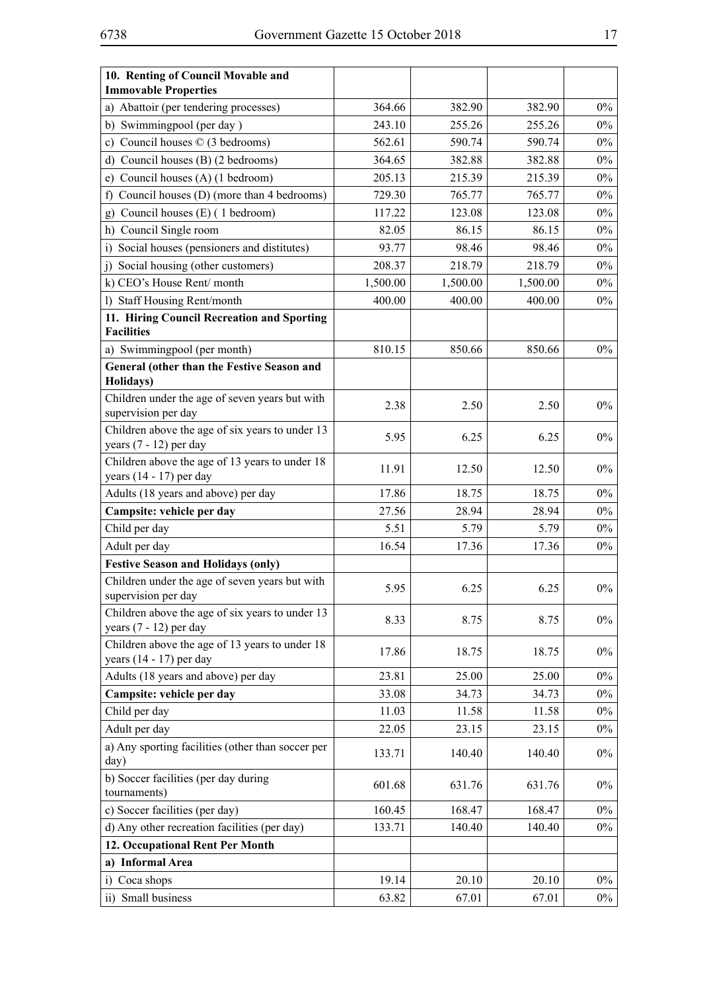| 10. Renting of Council Movable and<br><b>Immovable Properties</b>           |          |          |          |       |
|-----------------------------------------------------------------------------|----------|----------|----------|-------|
| a) Abattoir (per tendering processes)                                       | 364.66   | 382.90   | 382.90   | $0\%$ |
| b) Swimmingpool (per day)                                                   | 243.10   | 255.26   | 255.26   | $0\%$ |
| c) Council houses $\oslash$ (3 bedrooms)                                    | 562.61   | 590.74   | 590.74   | $0\%$ |
| Council houses (B) (2 bedrooms)<br>d)                                       | 364.65   | 382.88   | 382.88   | $0\%$ |
| Council houses (A) (1 bedroom)<br>e)                                        | 205.13   | 215.39   | 215.39   | $0\%$ |
| Council houses (D) (more than 4 bedrooms)<br>f)                             | 729.30   | 765.77   | 765.77   | $0\%$ |
| Council houses (E) (1 bedroom)<br>g)                                        | 117.22   | 123.08   | 123.08   | $0\%$ |
| Council Single room<br>h)                                                   | 82.05    | 86.15    | 86.15    | $0\%$ |
| Social houses (pensioners and distitutes)<br>$\overline{1}$                 | 93.77    | 98.46    | 98.46    | $0\%$ |
| Social housing (other customers)<br>j)                                      | 208.37   | 218.79   | 218.79   | $0\%$ |
| k) CEO's House Rent/month                                                   | 1,500.00 | 1,500.00 | 1,500.00 | $0\%$ |
| <b>Staff Housing Rent/month</b><br>$\mathbf{D}$                             | 400.00   | 400.00   | 400.00   | $0\%$ |
| 11. Hiring Council Recreation and Sporting                                  |          |          |          |       |
| <b>Facilities</b>                                                           |          |          |          |       |
| a) Swimmingpool (per month)                                                 | 810.15   | 850.66   | 850.66   | $0\%$ |
| General (other than the Festive Season and                                  |          |          |          |       |
| Holidays)                                                                   |          |          |          |       |
| Children under the age of seven years but with                              | 2.38     | 2.50     | 2.50     | $0\%$ |
| supervision per day                                                         |          |          |          |       |
| Children above the age of six years to under 13                             | 5.95     | 6.25     | 6.25     | $0\%$ |
| years $(7 - 12)$ per day                                                    |          |          |          |       |
| Children above the age of 13 years to under 18<br>years $(14 - 17)$ per day | 11.91    | 12.50    | 12.50    | $0\%$ |
| Adults (18 years and above) per day                                         | 17.86    | 18.75    | 18.75    | $0\%$ |
| Campsite: vehicle per day                                                   | 27.56    | 28.94    | 28.94    | $0\%$ |
| Child per day                                                               | 5.51     | 5.79     | 5.79     | $0\%$ |
| Adult per day                                                               | 16.54    | 17.36    | 17.36    | $0\%$ |
| <b>Festive Season and Holidays (only)</b>                                   |          |          |          |       |
| Children under the age of seven years but with<br>supervision per day       | 5.95     | 6.25     | 6.25     | $0\%$ |
| Children above the age of six years to under 13<br>years (7 - 12) per day   | 8.33     | 8.75     | 8.75     | $0\%$ |
| Children above the age of 13 years to under 18<br>years $(14 - 17)$ per day | 17.86    | 18.75    | 18.75    | $0\%$ |
| Adults (18 years and above) per day                                         | 23.81    | 25.00    | 25.00    | $0\%$ |
| Campsite: vehicle per day                                                   | 33.08    | 34.73    | 34.73    | $0\%$ |
| Child per day                                                               | 11.03    | 11.58    | 11.58    | $0\%$ |
| Adult per day                                                               | 22.05    | 23.15    | 23.15    | $0\%$ |
| a) Any sporting facilities (other than soccer per<br>day)                   | 133.71   | 140.40   | 140.40   | $0\%$ |
| b) Soccer facilities (per day during<br>tournaments)                        | 601.68   | 631.76   | 631.76   | $0\%$ |
| c) Soccer facilities (per day)                                              | 160.45   | 168.47   | 168.47   | $0\%$ |
| d) Any other recreation facilities (per day)                                | 133.71   | 140.40   | 140.40   | $0\%$ |
| 12. Occupational Rent Per Month                                             |          |          |          |       |
| a) Informal Area                                                            |          |          |          |       |
| Coca shops<br>$\ddot{1}$                                                    | 19.14    | 20.10    | 20.10    | $0\%$ |
| ii) Small business                                                          | 63.82    | 67.01    | 67.01    | $0\%$ |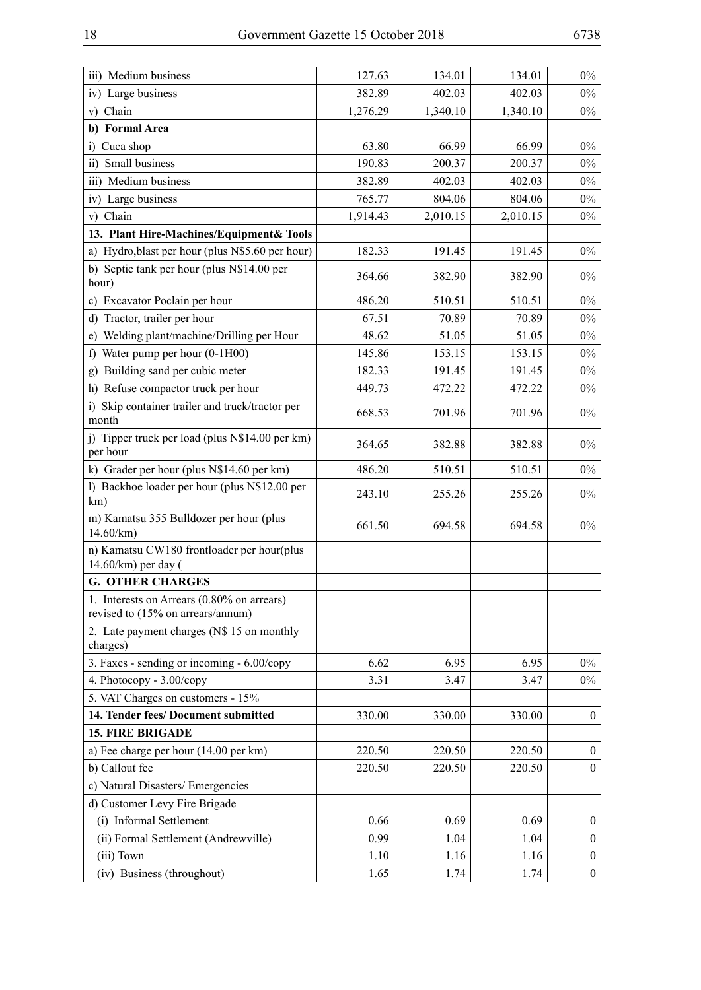| iii) Medium business                                                            | 127.63   | 134.01   | 134.01   | $0\%$            |
|---------------------------------------------------------------------------------|----------|----------|----------|------------------|
| iv) Large business                                                              | 382.89   | 402.03   | 402.03   | $0\%$            |
| v) Chain                                                                        | 1,276.29 | 1,340.10 | 1,340.10 | $0\%$            |
| b) Formal Area                                                                  |          |          |          |                  |
| Cuca shop<br>i)                                                                 | 63.80    | 66.99    | 66.99    | $0\%$            |
| ii) Small business                                                              | 190.83   | 200.37   | 200.37   | $0\%$            |
| iii) Medium business                                                            | 382.89   | 402.03   | 402.03   | $0\%$            |
| iv) Large business                                                              | 765.77   | 804.06   | 804.06   | $0\%$            |
| v) Chain                                                                        | 1,914.43 | 2,010.15 | 2,010.15 | $0\%$            |
| 13. Plant Hire-Machines/Equipment& Tools                                        |          |          |          |                  |
| a) Hydro, blast per hour (plus N\$5.60 per hour)                                | 182.33   | 191.45   | 191.45   | $0\%$            |
| b) Septic tank per hour (plus N\$14.00 per<br>hour)                             | 364.66   | 382.90   | 382.90   | $0\%$            |
| c) Excavator Poclain per hour                                                   | 486.20   | 510.51   | 510.51   | $0\%$            |
| d) Tractor, trailer per hour                                                    | 67.51    | 70.89    | 70.89    | $0\%$            |
| e) Welding plant/machine/Drilling per Hour                                      | 48.62    | 51.05    | 51.05    | $0\%$            |
| Water pump per hour (0-1H00)<br>f)                                              | 145.86   | 153.15   | 153.15   | $0\%$            |
| Building sand per cubic meter<br>g)                                             | 182.33   | 191.45   | 191.45   | $0\%$            |
| h) Refuse compactor truck per hour                                              | 449.73   | 472.22   | 472.22   | $0\%$            |
| i) Skip container trailer and truck/tractor per<br>month                        | 668.53   | 701.96   | 701.96   | $0\%$            |
| j) Tipper truck per load (plus N\$14.00 per km)<br>per hour                     | 364.65   | 382.88   | 382.88   | $0\%$            |
| k) Grader per hour (plus N\$14.60 per km)                                       | 486.20   | 510.51   | 510.51   | $0\%$            |
| 1) Backhoe loader per hour (plus N\$12.00 per<br>km)                            | 243.10   | 255.26   | 255.26   | $0\%$            |
| m) Kamatsu 355 Bulldozer per hour (plus<br>14.60/km)                            | 661.50   | 694.58   | 694.58   | $0\%$            |
| n) Kamatsu CW180 frontloader per hour(plus<br>14.60/km) per day (               |          |          |          |                  |
| <b>G. OTHER CHARGES</b>                                                         |          |          |          |                  |
| 1. Interests on Arrears (0.80% on arrears)<br>revised to (15% on arrears/annum) |          |          |          |                  |
| 2. Late payment charges (N\$ 15 on monthly<br>charges)                          |          |          |          |                  |
| 3. Faxes - sending or incoming - 6.00/copy                                      | 6.62     | 6.95     | 6.95     | $0\%$            |
| 4. Photocopy - 3.00/copy                                                        | 3.31     | 3.47     | 3.47     | $0\%$            |
| 5. VAT Charges on customers - 15%                                               |          |          |          |                  |
| 14. Tender fees/ Document submitted                                             | 330.00   | 330.00   | 330.00   | $\overline{0}$   |
| <b>15. FIRE BRIGADE</b>                                                         |          |          |          |                  |
| a) Fee charge per hour (14.00 per km)                                           | 220.50   | 220.50   | 220.50   | $\overline{0}$   |
| b) Callout fee                                                                  | 220.50   | 220.50   | 220.50   | $\overline{0}$   |
| c) Natural Disasters/ Emergencies                                               |          |          |          |                  |
| d) Customer Levy Fire Brigade                                                   |          |          |          |                  |
| (i) Informal Settlement                                                         | 0.66     | 0.69     | 0.69     | $\overline{0}$   |
| (ii) Formal Settlement (Andrewville)                                            | 0.99     | 1.04     | 1.04     | $\boldsymbol{0}$ |
| (iii) Town                                                                      | 1.10     | 1.16     | 1.16     | $\overline{0}$   |
| (iv) Business (throughout)                                                      | 1.65     | 1.74     | 1.74     | $\mathbf{0}$     |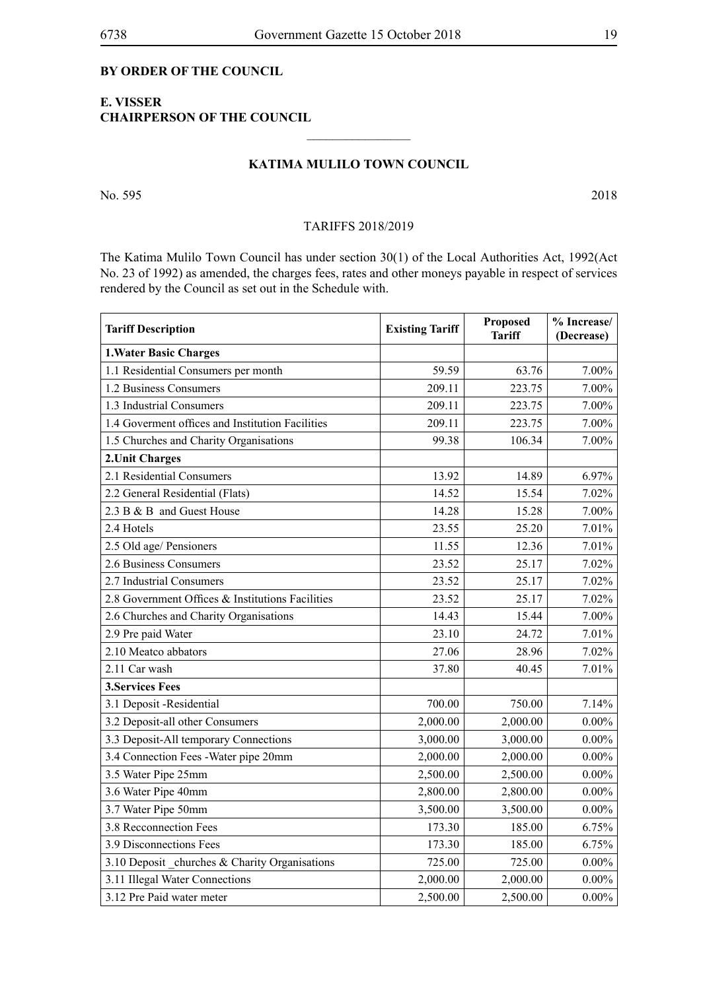### **BY ORDER OF THE COUNCIL**

# **E. VISSER CHAIRPERSON OF THE COUNCIL**

# **KATIMA MULILO TOWN COUNCIL**

 $\overline{\phantom{a}}$  , where  $\overline{\phantom{a}}$ 

No. 595 2018

#### TARIFFS 2018/2019

The Katima Mulilo Town Council has under section 30(1) of the Local Authorities Act, 1992(Act No. 23 of 1992) as amended, the charges fees, rates and other moneys payable in respect of services rendered by the Council as set out in the Schedule with.

| <b>Tariff Description</b>                        | <b>Existing Tariff</b> | Proposed<br><b>Tariff</b> | % Increase/<br>(Decrease) |
|--------------------------------------------------|------------------------|---------------------------|---------------------------|
| <b>1. Water Basic Charges</b>                    |                        |                           |                           |
| 1.1 Residential Consumers per month              | 59.59                  | 63.76                     | 7.00%                     |
| 1.2 Business Consumers                           | 209.11                 | 223.75                    | 7.00%                     |
| 1.3 Industrial Consumers                         | 209.11                 | 223.75                    | 7.00%                     |
| 1.4 Governent offices and Institution Facilities | 209.11                 | 223.75                    | 7.00%                     |
| 1.5 Churches and Charity Organisations           | 99.38                  | 106.34                    | 7.00%                     |
| 2. Unit Charges                                  |                        |                           |                           |
| 2.1 Residential Consumers                        | 13.92                  | 14.89                     | 6.97%                     |
| 2.2 General Residential (Flats)                  | 14.52                  | 15.54                     | 7.02%                     |
| 2.3 B & B and Guest House                        | 14.28                  | 15.28                     | 7.00%                     |
| 2.4 Hotels                                       | 23.55                  | 25.20                     | 7.01%                     |
| 2.5 Old age/ Pensioners                          | 11.55                  | 12.36                     | 7.01%                     |
| 2.6 Business Consumers                           | 23.52                  | 25.17                     | 7.02%                     |
| 2.7 Industrial Consumers                         | 23.52                  | 25.17                     | 7.02%                     |
| 2.8 Government Offices & Institutions Facilities | 23.52                  | 25.17                     | 7.02%                     |
| 2.6 Churches and Charity Organisations           | 14.43                  | 15.44                     | 7.00%                     |
| 2.9 Pre paid Water                               | 23.10                  | 24.72                     | 7.01%                     |
| 2.10 Meatco abbators                             | 27.06                  | 28.96                     | 7.02%                     |
| 2.11 Car wash                                    | 37.80                  | 40.45                     | 7.01%                     |
| <b>3. Services Fees</b>                          |                        |                           |                           |
| 3.1 Deposit -Residential                         | 700.00                 | 750.00                    | 7.14%                     |
| 3.2 Deposit-all other Consumers                  | 2,000.00               | 2,000.00                  | $0.00\%$                  |
| 3.3 Deposit-All temporary Connections            | 3,000.00               | 3,000.00                  | $0.00\%$                  |
| 3.4 Connection Fees - Water pipe 20mm            | 2,000.00               | 2,000.00                  | $0.00\%$                  |
| 3.5 Water Pipe 25mm                              | 2,500.00               | 2,500.00                  | $0.00\%$                  |
| 3.6 Water Pipe 40mm                              | 2,800.00               | 2,800.00                  | $0.00\%$                  |
| 3.7 Water Pipe 50mm                              | 3,500.00               | 3,500.00                  | $0.00\%$                  |
| 3.8 Recconnection Fees                           | 173.30                 | 185.00                    | 6.75%                     |
| 3.9 Disconnections Fees                          | 173.30                 | 185.00                    | 6.75%                     |
| 3.10 Deposit _churches & Charity Organisations   | 725.00                 | 725.00                    | $0.00\%$                  |
| 3.11 Illegal Water Connections                   | 2,000.00               | 2,000.00                  | $0.00\%$                  |
| 3.12 Pre Paid water meter                        | 2,500.00               | 2,500.00                  | $0.00\%$                  |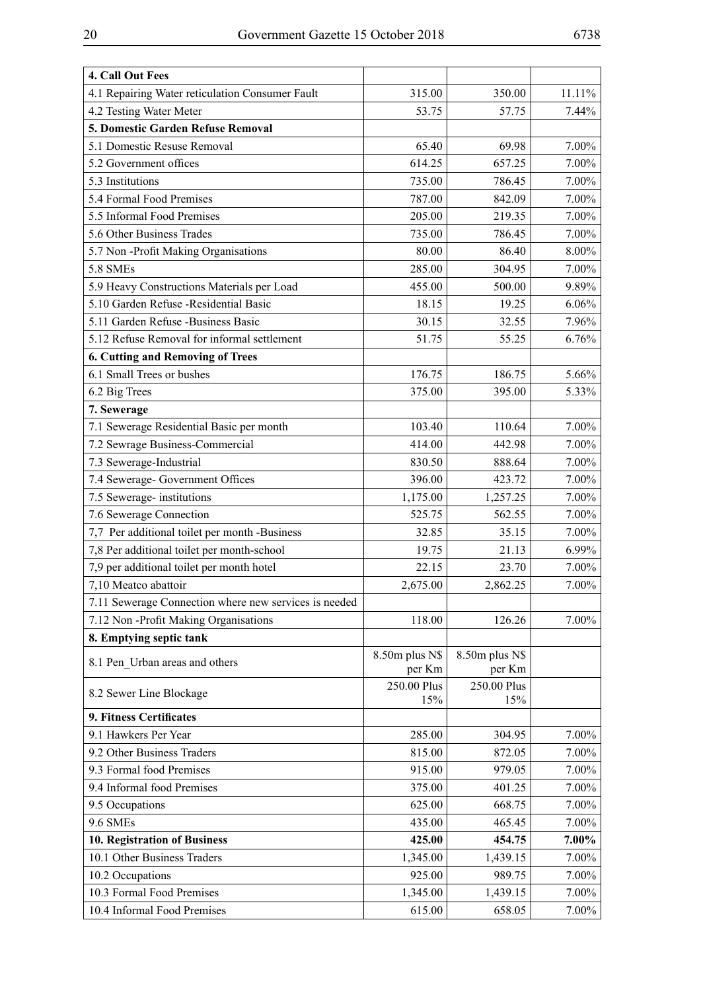| 4. Call Out Fees                                      |                |                |        |
|-------------------------------------------------------|----------------|----------------|--------|
| 4.1 Repairing Water reticulation Consumer Fault       | 315.00         | 350.00         | 11.11% |
| 4.2 Testing Water Meter                               | 53.75          | 57.75          | 7.44%  |
| 5. Domestic Garden Refuse Removal                     |                |                |        |
| 5.1 Domestic Resuse Removal                           | 65.40          | 69.98          | 7.00%  |
| 5.2 Government offices                                | 614.25         | 657.25         | 7.00%  |
| 5.3 Institutions                                      | 735.00         | 786.45         | 7.00%  |
| 5.4 Formal Food Premises                              | 787.00         | 842.09         | 7.00%  |
| 5.5 Informal Food Premises                            | 205.00         | 219.35         | 7.00%  |
| 5.6 Other Business Trades                             | 735.00         | 786.45         | 7.00%  |
| 5.7 Non-Profit Making Organisations                   | 80.00          | 86.40          | 8.00%  |
| 5.8 SMEs                                              | 285.00         | 304.95         | 7.00%  |
| 5.9 Heavy Constructions Materials per Load            | 455.00         | 500.00         | 9.89%  |
| 5.10 Garden Refuse - Residential Basic                | 18.15          | 19.25          | 6.06%  |
| 5.11 Garden Refuse -Business Basic                    | 30.15          | 32.55          | 7.96%  |
| 5.12 Refuse Removal for informal settlement           | 51.75          | 55.25          | 6.76%  |
| 6. Cutting and Removing of Trees                      |                |                |        |
| 6.1 Small Trees or bushes                             | 176.75         | 186.75         | 5.66%  |
| 6.2 Big Trees                                         | 375.00         | 395.00         | 5.33%  |
| 7. Sewerage                                           |                |                |        |
| 7.1 Sewerage Residential Basic per month              | 103.40         | 110.64         | 7.00%  |
| 7.2 Sewrage Business-Commercial                       | 414.00         | 442.98         | 7.00%  |
| 7.3 Sewerage-Industrial                               | 830.50         | 888.64         | 7.00%  |
| 7.4 Sewerage- Government Offices                      | 396.00         | 423.72         | 7.00%  |
| 7.5 Sewerage-institutions                             | 1,175.00       | 1,257.25       | 7.00%  |
| 7.6 Sewerage Connection                               | 525.75         | 562.55         | 7.00%  |
| 7,7 Per additional toilet per month -Business         | 32.85          | 35.15          | 7.00%  |
| 7,8 Per additional toilet per month-school            | 19.75          | 21.13          | 6.99%  |
| 7,9 per additional toilet per month hotel             | 22.15          | 23.70          | 7.00%  |
| 7,10 Meatco abattoir                                  | 2,675.00       | 2,862.25       | 7.00%  |
| 7.11 Sewerage Connection where new services is needed |                |                |        |
| 7.12 Non-Profit Making Organisations                  | 118.00         | 126.26         | 7.00%  |
| 8. Emptying septic tank                               |                |                |        |
| 8.1 Pen Urban areas and others                        | 8.50m plus N\$ | 8.50m plus N\$ |        |
|                                                       | per Km         | per Km         |        |
| 8.2 Sewer Line Blockage                               | 250.00 Plus    | 250.00 Plus    |        |
|                                                       | 15%            | 15%            |        |
| 9. Fitness Certificates<br>9.1 Hawkers Per Year       |                |                |        |
|                                                       | 285.00         | 304.95         | 7.00%  |
| 9.2 Other Business Traders                            | 815.00         | 872.05         | 7.00%  |
| 9.3 Formal food Premises                              | 915.00         | 979.05         | 7.00%  |
| 9.4 Informal food Premises                            | 375.00         | 401.25         | 7.00%  |
| 9.5 Occupations                                       | 625.00         | 668.75         | 7.00%  |
| 9.6 SMEs                                              | 435.00         | 465.45         | 7.00%  |
| 10. Registration of Business                          | 425.00         | 454.75         | 7.00%  |
| 10.1 Other Business Traders                           | 1,345.00       | 1,439.15       | 7.00%  |
| 10.2 Occupations                                      | 925.00         | 989.75         | 7.00%  |
| 10.3 Formal Food Premises                             | 1,345.00       | 1,439.15       | 7.00%  |
| 10.4 Informal Food Premises                           | 615.00         | 658.05         | 7.00%  |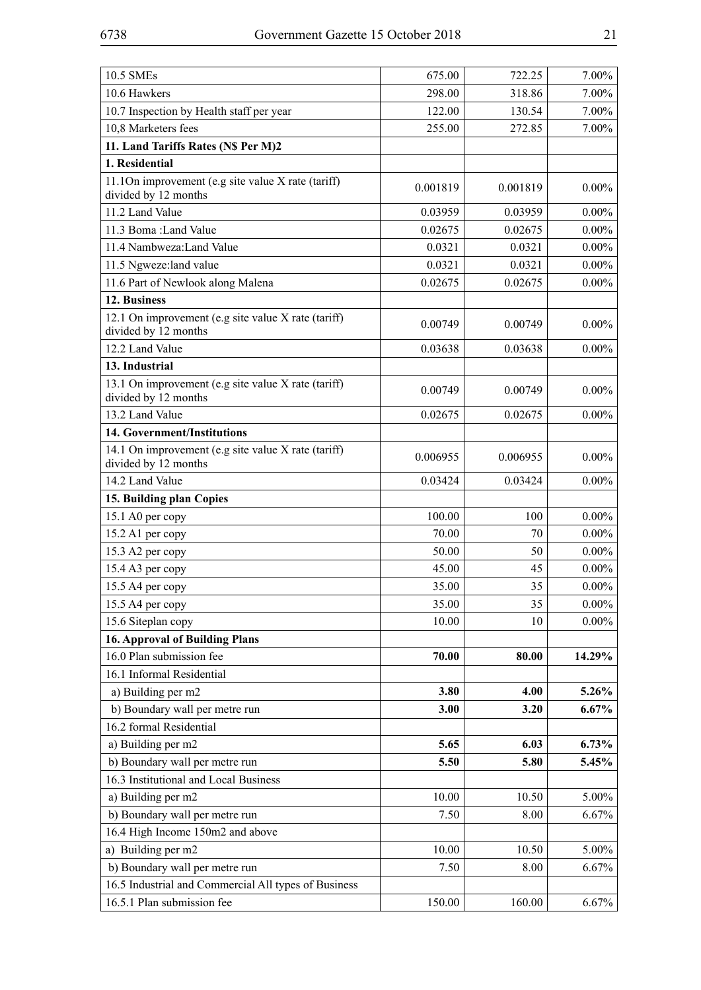| 10.5 SMEs                                                                   | 675.00   | 722.25   | 7.00%    |
|-----------------------------------------------------------------------------|----------|----------|----------|
| 10.6 Hawkers                                                                | 298.00   | 318.86   | 7.00%    |
| 10.7 Inspection by Health staff per year                                    | 122.00   | 130.54   | 7.00%    |
| 10,8 Marketers fees                                                         | 255.00   | 272.85   | 7.00%    |
| 11. Land Tariffs Rates (N\$ Per M)2                                         |          |          |          |
| 1. Residential                                                              |          |          |          |
| 11.10n improvement (e.g site value X rate (tariff)<br>divided by 12 months  | 0.001819 | 0.001819 | $0.00\%$ |
| 11.2 Land Value                                                             | 0.03959  | 0.03959  | $0.00\%$ |
| 11.3 Boma: Land Value                                                       | 0.02675  | 0.02675  | $0.00\%$ |
| 11.4 Nambweza: Land Value                                                   | 0.0321   | 0.0321   | $0.00\%$ |
| 11.5 Ngweze:land value                                                      | 0.0321   | 0.0321   | $0.00\%$ |
| 11.6 Part of Newlook along Malena                                           | 0.02675  | 0.02675  | $0.00\%$ |
| 12. Business                                                                |          |          |          |
| 12.1 On improvement (e.g site value X rate (tariff)<br>divided by 12 months | 0.00749  | 0.00749  | $0.00\%$ |
| 12.2 Land Value                                                             | 0.03638  | 0.03638  | $0.00\%$ |
| 13. Industrial                                                              |          |          |          |
| 13.1 On improvement (e.g site value X rate (tariff)<br>divided by 12 months | 0.00749  | 0.00749  | $0.00\%$ |
| 13.2 Land Value                                                             | 0.02675  | 0.02675  | $0.00\%$ |
| 14. Government/Institutions                                                 |          |          |          |
| 14.1 On improvement (e.g site value X rate (tariff)<br>divided by 12 months | 0.006955 | 0.006955 | $0.00\%$ |
| 14.2 Land Value                                                             | 0.03424  | 0.03424  | $0.00\%$ |
| 15. Building plan Copies                                                    |          |          |          |
| 15.1 A0 per copy                                                            | 100.00   | 100      | $0.00\%$ |
| 15.2 A1 per copy                                                            | 70.00    | 70       | $0.00\%$ |
| 15.3 A2 per copy                                                            | 50.00    | 50       | $0.00\%$ |
| 15.4 A3 per copy                                                            | 45.00    | 45       | $0.00\%$ |
| 15.5 A4 per copy                                                            | 35.00    | 35       | $0.00\%$ |
| 15.5 A4 per copy                                                            | 35.00    | 35       | $0.00\%$ |
| 15.6 Siteplan copy                                                          | 10.00    | 10       | $0.00\%$ |
| <b>16. Approval of Building Plans</b>                                       |          |          |          |
| 16.0 Plan submission fee                                                    | 70.00    | 80.00    | 14.29%   |
| 16.1 Informal Residential                                                   |          |          |          |
| a) Building per m2                                                          | 3.80     | 4.00     | 5.26%    |
| b) Boundary wall per metre run                                              | 3.00     | 3.20     | 6.67%    |
| 16.2 formal Residential                                                     |          |          |          |
| a) Building per m2                                                          | 5.65     | 6.03     | $6.73\%$ |
| b) Boundary wall per metre run                                              | 5.50     | 5.80     | 5.45%    |
| 16.3 Institutional and Local Business                                       |          |          |          |
| a) Building per m2                                                          | 10.00    | 10.50    | 5.00%    |
| b) Boundary wall per metre run                                              | 7.50     | 8.00     | 6.67%    |
| 16.4 High Income 150m2 and above                                            |          |          |          |
| a) Building per m2                                                          | 10.00    | 10.50    | 5.00%    |
| b) Boundary wall per metre run                                              | 7.50     | 8.00     | 6.67%    |
| 16.5 Industrial and Commercial All types of Business                        |          |          |          |
| 16.5.1 Plan submission fee                                                  | 150.00   | 160.00   | 6.67%    |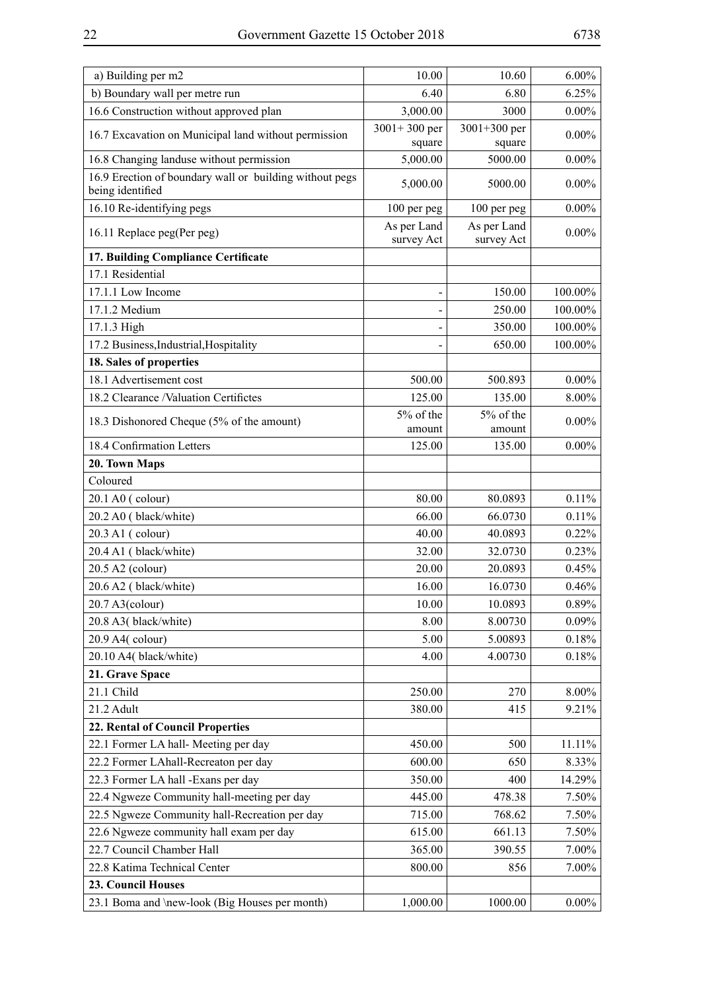| a) Building per m2                                                          | 10.00                      | 10.60                      | $6.00\%$ |
|-----------------------------------------------------------------------------|----------------------------|----------------------------|----------|
| b) Boundary wall per metre run                                              | 6.40                       | 6.80                       | 6.25%    |
| 16.6 Construction without approved plan                                     | 3,000.00                   | 3000                       | $0.00\%$ |
| 16.7 Excavation on Municipal land without permission                        | $3001 + 300$ per<br>square | $3001 + 300$ per<br>square | $0.00\%$ |
| 16.8 Changing landuse without permission                                    | 5,000.00                   | 5000.00                    | $0.00\%$ |
| 16.9 Erection of boundary wall or building without pegs<br>being identified | 5,000.00                   | 5000.00                    | $0.00\%$ |
| 16.10 Re-identifying pegs                                                   | 100 per peg                | 100 per peg                | $0.00\%$ |
| 16.11 Replace peg(Per peg)                                                  | As per Land<br>survey Act  | As per Land<br>survey Act  | $0.00\%$ |
| 17. Building Compliance Certificate                                         |                            |                            |          |
| 17.1 Residential                                                            |                            |                            |          |
| 17.1.1 Low Income                                                           |                            | 150.00                     | 100.00%  |
| 17.1.2 Medium                                                               |                            | 250.00                     | 100.00%  |
| 17.1.3 High                                                                 |                            | 350.00                     | 100.00%  |
| 17.2 Business, Industrial, Hospitality                                      |                            | 650.00                     | 100.00%  |
| 18. Sales of properties                                                     |                            |                            |          |
| 18.1 Advertisement cost                                                     | 500.00                     | 500.893                    | $0.00\%$ |
| 18.2 Clearance /Valuation Certifictes                                       | 125.00                     | 135.00                     | 8.00%    |
| 18.3 Dishonored Cheque (5% of the amount)                                   | 5% of the                  | 5% of the                  | $0.00\%$ |
|                                                                             | amount                     | amount                     |          |
| 18.4 Confirmation Letters                                                   | 125.00                     | 135.00                     | $0.00\%$ |
| 20. Town Maps<br>Coloured                                                   |                            |                            |          |
| 20.1 A0 (colour)                                                            | 80.00                      | 80.0893                    | 0.11%    |
| 20.2 A0 (black/white)                                                       | 66.00                      | 66.0730                    | 0.11%    |
| 20.3 A1 (colour)                                                            | 40.00                      | 40.0893                    | 0.22%    |
| 20.4 A1 (black/white)                                                       | 32.00                      | 32.0730                    | 0.23%    |
| 20.5 A2 (colour)                                                            | 20.00                      | 20.0893                    | 0.45%    |
| 20.6 A2 (black/white)                                                       | 16.00                      | 16.0730                    | 0.46%    |
| $20.7$ A3(colour)                                                           | 10.00                      | 10.0893                    | 0.89%    |
| 20.8 A3(black/white)                                                        | 8.00                       | 8.00730                    | $0.09\%$ |
| 20.9 A4(colour)                                                             | 5.00                       | 5.00893                    | 0.18%    |
| 20.10 A4( black/white)                                                      | 4.00                       | 4.00730                    | 0.18%    |
| 21. Grave Space                                                             |                            |                            |          |
| 21.1 Child                                                                  | 250.00                     | 270                        | 8.00%    |
| 21.2 Adult                                                                  | 380.00                     | 415                        | 9.21%    |
| 22. Rental of Council Properties                                            |                            |                            |          |
| 22.1 Former LA hall-Meeting per day                                         | 450.00                     | 500                        | 11.11%   |
| 22.2 Former LAhall-Recreaton per day                                        | 600.00                     | 650                        | 8.33%    |
| 22.3 Former LA hall -Exans per day                                          | 350.00                     | 400                        | 14.29%   |
| 22.4 Ngweze Community hall-meeting per day                                  | 445.00                     | 478.38                     | 7.50%    |
| 22.5 Ngweze Community hall-Recreation per day                               | 715.00                     | 768.62                     | $7.50\%$ |
| 22.6 Ngweze community hall exam per day                                     | 615.00                     | 661.13                     | 7.50%    |
| 22.7 Council Chamber Hall                                                   | 365.00                     | 390.55                     | $7.00\%$ |
| 22.8 Katima Technical Center                                                | 800.00                     | 856                        | 7.00%    |
| 23. Council Houses                                                          |                            |                            |          |
| 23.1 Boma and \new-look (Big Houses per month)                              | 1,000.00                   | 1000.00                    | $0.00\%$ |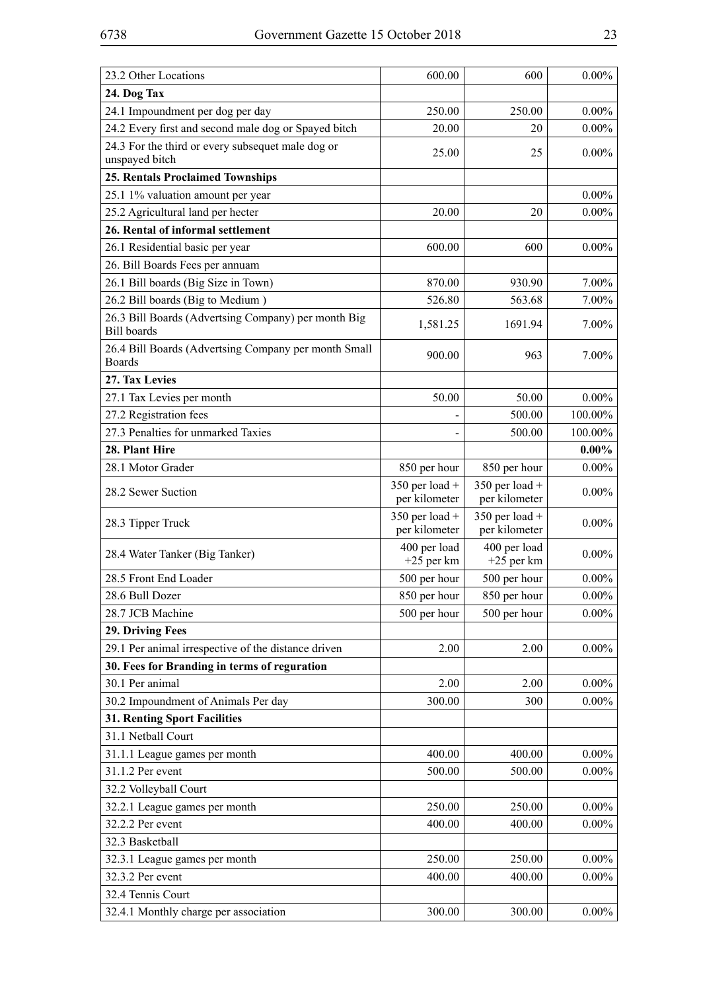| 23.2 Other Locations                                                      | 600.00                            | 600                             | $0.00\%$ |
|---------------------------------------------------------------------------|-----------------------------------|---------------------------------|----------|
| 24. Dog Tax                                                               |                                   |                                 |          |
| 24.1 Impoundment per dog per day                                          | 250.00                            | 250.00                          | $0.00\%$ |
| 24.2 Every first and second male dog or Spayed bitch                      | 20.00                             | 20                              | $0.00\%$ |
| 24.3 For the third or every subsequet male dog or<br>unspayed bitch       | 25.00                             | 25                              | $0.00\%$ |
| <b>25. Rentals Proclaimed Townships</b>                                   |                                   |                                 |          |
| 25.1 1% valuation amount per year                                         |                                   |                                 | $0.00\%$ |
| 25.2 Agricultural land per hecter                                         | 20.00                             | 20                              | $0.00\%$ |
| 26. Rental of informal settlement                                         |                                   |                                 |          |
| 26.1 Residential basic per year                                           | 600.00                            | 600                             | $0.00\%$ |
| 26. Bill Boards Fees per annuam                                           |                                   |                                 |          |
| 26.1 Bill boards (Big Size in Town)                                       | 870.00                            | 930.90                          | 7.00%    |
| 26.2 Bill boards (Big to Medium)                                          | 526.80                            | 563.68                          | 7.00%    |
| 26.3 Bill Boards (Advertsing Company) per month Big<br><b>Bill</b> boards | 1,581.25                          | 1691.94                         | 7.00%    |
| 26.4 Bill Boards (Advertsing Company per month Small<br><b>Boards</b>     | 900.00                            | 963                             | 7.00%    |
| 27. Tax Levies                                                            |                                   |                                 |          |
| 27.1 Tax Levies per month                                                 | 50.00                             | 50.00                           | $0.00\%$ |
| 27.2 Registration fees                                                    |                                   | 500.00                          | 100.00%  |
| 27.3 Penalties for unmarked Taxies                                        |                                   | 500.00                          | 100.00%  |
| 28. Plant Hire                                                            |                                   |                                 | $0.00\%$ |
| 28.1 Motor Grader                                                         | 850 per hour                      | 850 per hour                    | $0.00\%$ |
| 28.2 Sewer Suction                                                        | $350$ per load +<br>per kilometer | 350 per load +<br>per kilometer | $0.00\%$ |
| 28.3 Tipper Truck                                                         | $350$ per load +<br>per kilometer | 350 per load +<br>per kilometer | $0.00\%$ |
| 28.4 Water Tanker (Big Tanker)                                            | 400 per load<br>$+25$ per km      | 400 per load<br>$+25$ per km    | $0.00\%$ |
| 28.5 Front End Loader                                                     | 500 per hour                      | 500 per hour                    | $0.00\%$ |
| 28.6 Bull Dozer                                                           | 850 per hour                      | 850 per hour                    | $0.00\%$ |
| 28.7 JCB Machine                                                          | 500 per hour                      | 500 per hour                    | $0.00\%$ |
| 29. Driving Fees                                                          |                                   |                                 |          |
| 29.1 Per animal irrespective of the distance driven                       | 2.00                              | 2.00                            | $0.00\%$ |
| 30. Fees for Branding in terms of reguration                              |                                   |                                 |          |
| 30.1 Per animal                                                           | 2.00                              | 2.00                            | $0.00\%$ |
| 30.2 Impoundment of Animals Per day                                       | 300.00                            | 300                             | $0.00\%$ |
| <b>31. Renting Sport Facilities</b>                                       |                                   |                                 |          |
| 31.1 Netball Court                                                        |                                   |                                 |          |
| 31.1.1 League games per month                                             | 400.00                            | 400.00                          | $0.00\%$ |
| 31.1.2 Per event                                                          | 500.00                            | 500.00                          | $0.00\%$ |
| 32.2 Volleyball Court                                                     |                                   |                                 |          |
| 32.2.1 League games per month                                             | 250.00                            | 250.00                          | $0.00\%$ |
| 32.2.2 Per event                                                          | 400.00                            | 400.00                          | $0.00\%$ |
| 32.3 Basketball                                                           |                                   |                                 |          |
| 32.3.1 League games per month                                             | 250.00                            | 250.00                          | $0.00\%$ |
| 32.3.2 Per event                                                          | 400.00                            | 400.00                          | $0.00\%$ |
| 32.4 Tennis Court                                                         |                                   |                                 |          |
| 32.4.1 Monthly charge per association                                     | 300.00                            | 300.00                          | $0.00\%$ |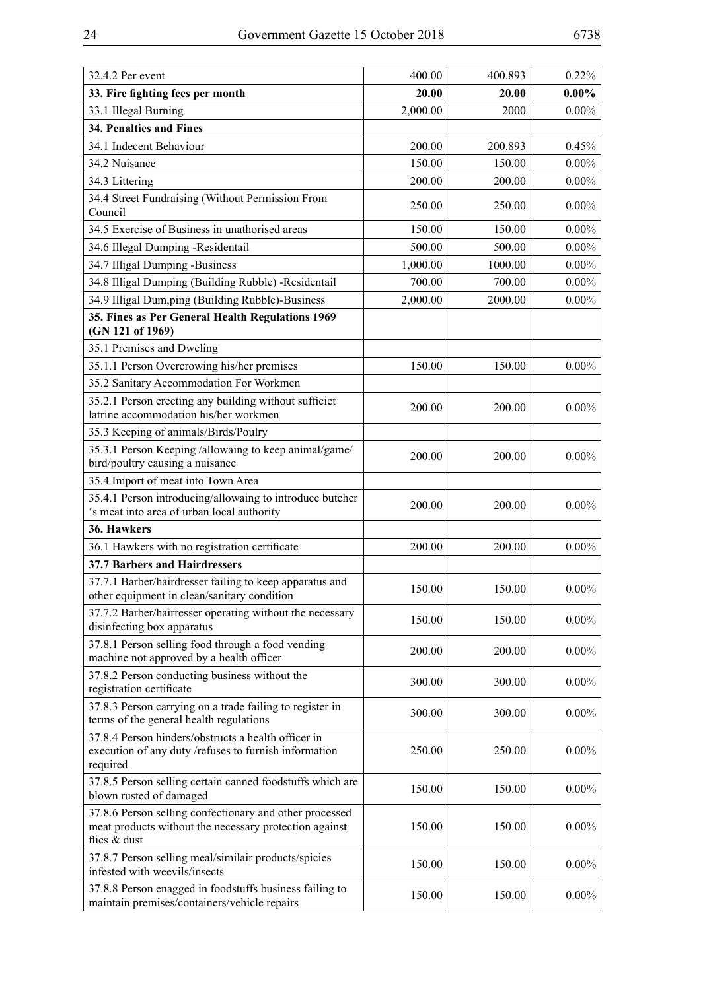| 32.4.2 Per event                                                                                                                  | 400.00   | 400.893 | 0.22%    |
|-----------------------------------------------------------------------------------------------------------------------------------|----------|---------|----------|
| 33. Fire fighting fees per month                                                                                                  | 20.00    | 20.00   | $0.00\%$ |
| 33.1 Illegal Burning                                                                                                              | 2,000.00 | 2000    | $0.00\%$ |
| 34. Penalties and Fines                                                                                                           |          |         |          |
| 34.1 Indecent Behaviour                                                                                                           | 200.00   | 200.893 | 0.45%    |
| 34.2 Nuisance                                                                                                                     | 150.00   | 150.00  | $0.00\%$ |
| 34.3 Littering                                                                                                                    | 200.00   | 200.00  | $0.00\%$ |
| 34.4 Street Fundraising (Without Permission From<br>Council                                                                       | 250.00   | 250.00  | $0.00\%$ |
| 34.5 Exercise of Business in unathorised areas                                                                                    | 150.00   | 150.00  | $0.00\%$ |
| 34.6 Illegal Dumping -Residentail                                                                                                 | 500.00   | 500.00  | $0.00\%$ |
| 34.7 Illigal Dumping -Business                                                                                                    | 1,000.00 | 1000.00 | $0.00\%$ |
| 34.8 Illigal Dumping (Building Rubble) -Residentail                                                                               | 700.00   | 700.00  | $0.00\%$ |
| 34.9 Illigal Dum,ping (Building Rubble)-Business                                                                                  | 2,000.00 | 2000.00 | $0.00\%$ |
| 35. Fines as Per General Health Regulations 1969<br>(GN 121 of 1969)                                                              |          |         |          |
| 35.1 Premises and Dweling                                                                                                         |          |         |          |
| 35.1.1 Person Overcrowing his/her premises                                                                                        | 150.00   | 150.00  | $0.00\%$ |
| 35.2 Sanitary Accommodation For Workmen                                                                                           |          |         |          |
| 35.2.1 Person erecting any building without sufficiet<br>latrine accommodation his/her workmen                                    | 200.00   | 200.00  | $0.00\%$ |
| 35.3 Keeping of animals/Birds/Poulry                                                                                              |          |         |          |
| 35.3.1 Person Keeping /allowaing to keep animal/game/<br>bird/poultry causing a nuisance                                          | 200.00   | 200.00  | $0.00\%$ |
| 35.4 Import of meat into Town Area                                                                                                |          |         |          |
| 35.4.1 Person introducing/allowaing to introduce butcher<br>'s meat into area of urban local authority                            | 200.00   | 200.00  | $0.00\%$ |
| 36. Hawkers                                                                                                                       |          |         |          |
| 36.1 Hawkers with no registration certificate                                                                                     | 200.00   | 200.00  | $0.00\%$ |
| <b>37.7 Barbers and Hairdressers</b>                                                                                              |          |         |          |
| 37.7.1 Barber/hairdresser failing to keep apparatus and<br>other equipment in clean/sanitary condition                            | 150.00   | 150.00  | $0.00\%$ |
| 37.7.2 Barber/hairresser operating without the necessary<br>disinfecting box apparatus                                            | 150.00   | 150.00  | $0.00\%$ |
| 37.8.1 Person selling food through a food vending<br>machine not approved by a health officer                                     | 200.00   | 200.00  | $0.00\%$ |
| 37.8.2 Person conducting business without the<br>registration certificate                                                         | 300.00   | 300.00  | $0.00\%$ |
| 37.8.3 Person carrying on a trade failing to register in<br>terms of the general health regulations                               | 300.00   | 300.00  | $0.00\%$ |
| 37.8.4 Person hinders/obstructs a health officer in<br>execution of any duty /refuses to furnish information<br>required          | 250.00   | 250.00  | $0.00\%$ |
| 37.8.5 Person selling certain canned foodstuffs which are<br>blown rusted of damaged                                              | 150.00   | 150.00  | $0.00\%$ |
| 37.8.6 Person selling confectionary and other processed<br>meat products without the necessary protection against<br>flies & dust | 150.00   | 150.00  | $0.00\%$ |
| 37.8.7 Person selling meal/similair products/spicies<br>infested with weevils/insects                                             | 150.00   | 150.00  | $0.00\%$ |
| 37.8.8 Person enagged in foodstuffs business failing to<br>maintain premises/containers/vehicle repairs                           | 150.00   | 150.00  | $0.00\%$ |